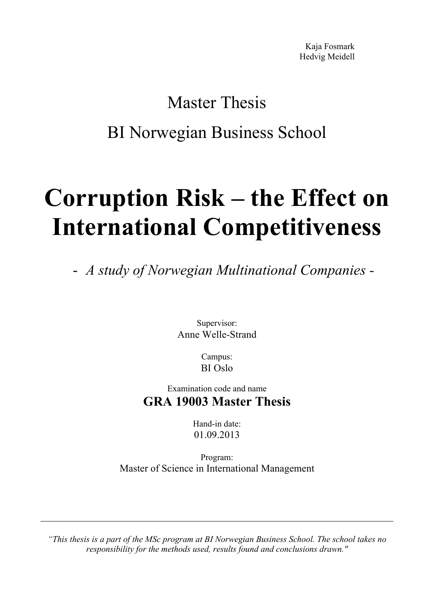Kaja Fosmark Hedvig Meidell

# Master Thesis BI Norwegian Business School

# **Corruption Risk – the Effect on International Competitiveness**

- *A study of Norwegian Multinational Companies -* 

Supervisor: Anne Welle-Strand

> Campus: BI Oslo

# Examination code and name **GRA 19003 Master Thesis**

Hand-in date: 01.09.2013

Program: Master of Science in International Management

*"This thesis is a part of the MSc program at BI Norwegian Business School. The school takes no responsibility for the methods used, results found and conclusions drawn."*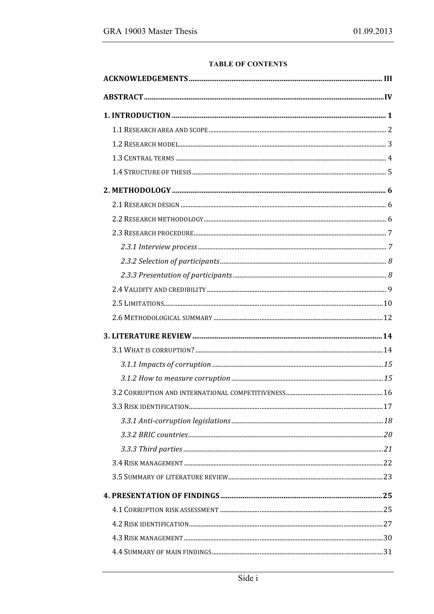#### **TABLE OF CONTENTS**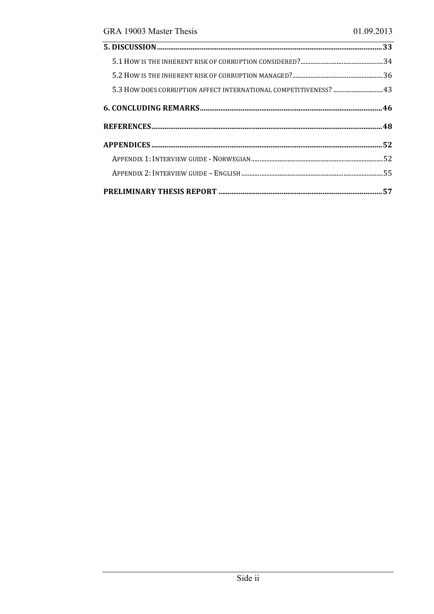| 5.3 HOW DOES CORRUPTION AFFECT INTERNATIONAL COMPETITIVENESS?  43 |  |
|-------------------------------------------------------------------|--|
|                                                                   |  |
|                                                                   |  |
|                                                                   |  |
|                                                                   |  |
|                                                                   |  |
|                                                                   |  |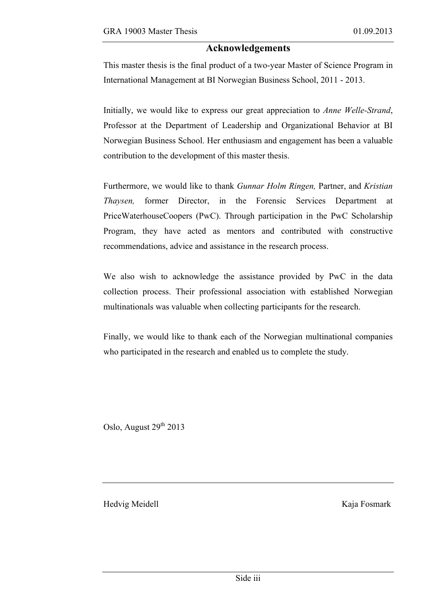#### **Acknowledgements**

This master thesis is the final product of a two-year Master of Science Program in International Management at BI Norwegian Business School, 2011 - 2013.

Initially, we would like to express our great appreciation to *Anne Welle-Strand*, Professor at the Department of Leadership and Organizational Behavior at BI Norwegian Business School. Her enthusiasm and engagement has been a valuable contribution to the development of this master thesis.

Furthermore, we would like to thank *Gunnar Holm Ringen,* Partner, and *Kristian Thaysen,* former Director, in the Forensic Services Department at PriceWaterhouseCoopers (PwC). Through participation in the PwC Scholarship Program, they have acted as mentors and contributed with constructive recommendations, advice and assistance in the research process.

We also wish to acknowledge the assistance provided by PwC in the data collection process. Their professional association with established Norwegian multinationals was valuable when collecting participants for the research.

Finally, we would like to thank each of the Norwegian multinational companies who participated in the research and enabled us to complete the study.

Oslo, August  $29<sup>th</sup> 2013$ 

Hedvig Meidell Kaja Fosmark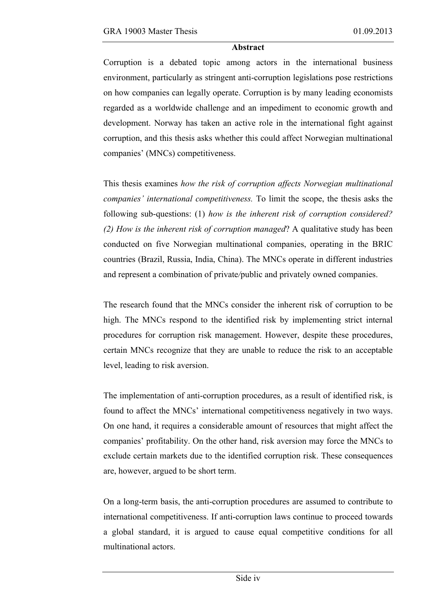#### **Abstract**

Corruption is a debated topic among actors in the international business environment, particularly as stringent anti-corruption legislations pose restrictions on how companies can legally operate. Corruption is by many leading economists regarded as a worldwide challenge and an impediment to economic growth and development. Norway has taken an active role in the international fight against corruption, and this thesis asks whether this could affect Norwegian multinational companies' (MNCs) competitiveness.

This thesis examines *how the risk of corruption affects Norwegian multinational companies' international competitiveness.* To limit the scope, the thesis asks the following sub-questions: (1) *how is the inherent risk of corruption considered? (2) How is the inherent risk of corruption managed*? A qualitative study has been conducted on five Norwegian multinational companies, operating in the BRIC countries (Brazil, Russia, India, China). The MNCs operate in different industries and represent a combination of private*/*public and privately owned companies.

The research found that the MNCs consider the inherent risk of corruption to be high. The MNCs respond to the identified risk by implementing strict internal procedures for corruption risk management. However, despite these procedures, certain MNCs recognize that they are unable to reduce the risk to an acceptable level, leading to risk aversion.

The implementation of anti-corruption procedures, as a result of identified risk, is found to affect the MNCs' international competitiveness negatively in two ways. On one hand, it requires a considerable amount of resources that might affect the companies' profitability. On the other hand, risk aversion may force the MNCs to exclude certain markets due to the identified corruption risk. These consequences are, however, argued to be short term.

On a long-term basis, the anti-corruption procedures are assumed to contribute to international competitiveness. If anti-corruption laws continue to proceed towards a global standard, it is argued to cause equal competitive conditions for all multinational actors.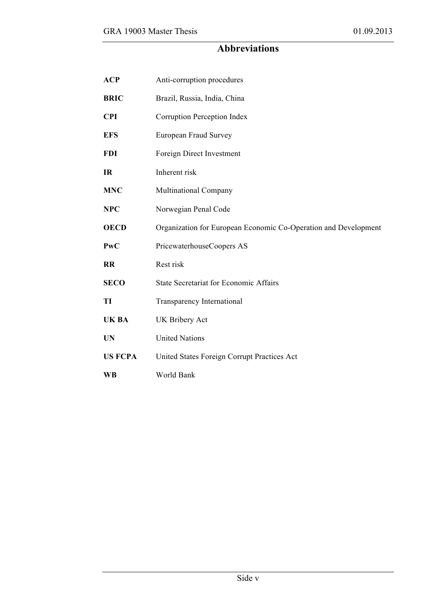# **Abbreviations**

| <b>ACP</b>     | Anti-corruption procedures                                      |
|----------------|-----------------------------------------------------------------|
| <b>BRIC</b>    | Brazil, Russia, India, China                                    |
| <b>CPI</b>     | Corruption Perception Index                                     |
| <b>EFS</b>     | European Fraud Survey                                           |
| <b>FDI</b>     | Foreign Direct Investment                                       |
| <b>IR</b>      | Inherent risk                                                   |
| <b>MNC</b>     | <b>Multinational Company</b>                                    |
| <b>NPC</b>     | Norwegian Penal Code                                            |
| <b>OECD</b>    | Organization for European Economic Co-Operation and Development |
| <b>PwC</b>     | PricewaterhouseCoopers AS                                       |
| RR             | Rest risk                                                       |
| <b>SECO</b>    | <b>State Secretariat for Economic Affairs</b>                   |
| TI             | Transparency International                                      |
| <b>UKBA</b>    | <b>UK Bribery Act</b>                                           |
| <b>UN</b>      | <b>United Nations</b>                                           |
| <b>US FCPA</b> | United States Foreign Corrupt Practices Act                     |
| <b>WB</b>      | World Bank                                                      |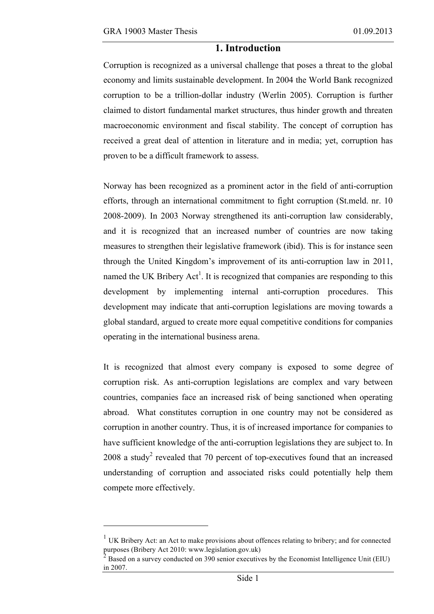$\overline{a}$ 

## **1. Introduction**

Corruption is recognized as a universal challenge that poses a threat to the global economy and limits sustainable development. In 2004 the World Bank recognized corruption to be a trillion-dollar industry (Werlin 2005). Corruption is further claimed to distort fundamental market structures, thus hinder growth and threaten macroeconomic environment and fiscal stability. The concept of corruption has received a great deal of attention in literature and in media; yet, corruption has proven to be a difficult framework to assess.

Norway has been recognized as a prominent actor in the field of anti-corruption efforts, through an international commitment to fight corruption (St.meld. nr. 10 2008-2009). In 2003 Norway strengthened its anti-corruption law considerably, and it is recognized that an increased number of countries are now taking measures to strengthen their legislative framework (ibid). This is for instance seen through the United Kingdom's improvement of its anti-corruption law in 2011, named the UK Bribery  $Act^1$ . It is recognized that companies are responding to this development by implementing internal anti-corruption procedures. This development may indicate that anti-corruption legislations are moving towards a global standard, argued to create more equal competitive conditions for companies operating in the international business arena.

It is recognized that almost every company is exposed to some degree of corruption risk. As anti-corruption legislations are complex and vary between countries, companies face an increased risk of being sanctioned when operating abroad. What constitutes corruption in one country may not be considered as corruption in another country. Thus, it is of increased importance for companies to have sufficient knowledge of the anti-corruption legislations they are subject to. In 2008 a study<sup>2</sup> revealed that 70 percent of top-executives found that an increased understanding of corruption and associated risks could potentially help them compete more effectively.

<sup>&</sup>lt;sup>1</sup> UK Bribery Act: an Act to make provisions about offences relating to bribery; and for connected purposes (Bribery Act 2010: www.legislation.gov.uk)

 $\overline{2}$  Based on a survey conducted on 390 senior executives by the Economist Intelligence Unit (EIU) in 2007.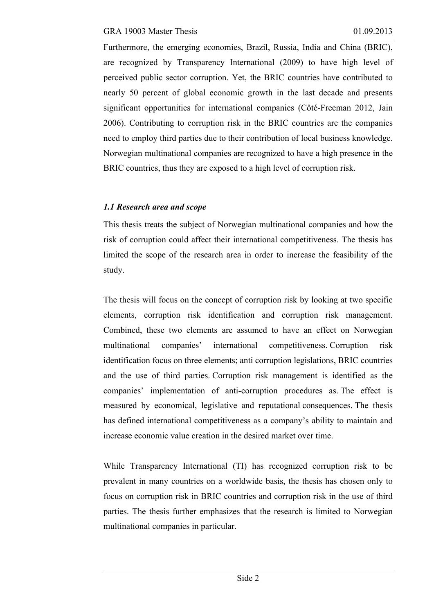Furthermore, the emerging economies, Brazil, Russia, India and China (BRIC), are recognized by Transparency International (2009) to have high level of perceived public sector corruption. Yet, the BRIC countries have contributed to nearly 50 percent of global economic growth in the last decade and presents significant opportunities for international companies (Côté-Freeman 2012, Jain 2006). Contributing to corruption risk in the BRIC countries are the companies need to employ third parties due to their contribution of local business knowledge. Norwegian multinational companies are recognized to have a high presence in the BRIC countries, thus they are exposed to a high level of corruption risk.

# *1.1 Research area and scope*

This thesis treats the subject of Norwegian multinational companies and how the risk of corruption could affect their international competitiveness. The thesis has limited the scope of the research area in order to increase the feasibility of the study.

The thesis will focus on the concept of corruption risk by looking at two specific elements, corruption risk identification and corruption risk management. Combined, these two elements are assumed to have an effect on Norwegian multinational companies' international competitiveness. Corruption risk identification focus on three elements; anti corruption legislations, BRIC countries and the use of third parties. Corruption risk management is identified as the companies' implementation of anti-corruption procedures as. The effect is measured by economical, legislative and reputational consequences. The thesis has defined international competitiveness as a company's ability to maintain and increase economic value creation in the desired market over time.

While Transparency International (TI) has recognized corruption risk to be prevalent in many countries on a worldwide basis, the thesis has chosen only to focus on corruption risk in BRIC countries and corruption risk in the use of third parties. The thesis further emphasizes that the research is limited to Norwegian multinational companies in particular.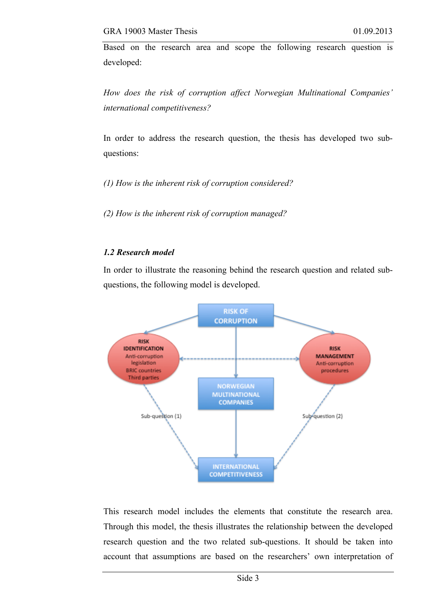Based on the research area and scope the following research question is developed:

*How does the risk of corruption affect Norwegian Multinational Companies' international competitiveness?*

In order to address the research question, the thesis has developed two subquestions:

*(1) How is the inherent risk of corruption considered?*

*(2) How is the inherent risk of corruption managed?*

#### *1.2 Research model*

In order to illustrate the reasoning behind the research question and related subquestions, the following model is developed.



This research model includes the elements that constitute the research area. Through this model, the thesis illustrates the relationship between the developed research question and the two related sub-questions. It should be taken into account that assumptions are based on the researchers' own interpretation of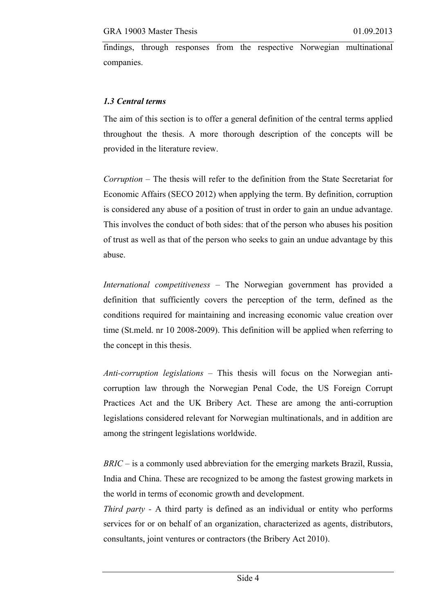findings, through responses from the respective Norwegian multinational companies.

### *1.3 Central terms*

The aim of this section is to offer a general definition of the central terms applied throughout the thesis. A more thorough description of the concepts will be provided in the literature review.

*Corruption –* The thesis will refer to the definition from the State Secretariat for Economic Affairs (SECO 2012) when applying the term. By definition, corruption is considered any abuse of a position of trust in order to gain an undue advantage. This involves the conduct of both sides: that of the person who abuses his position of trust as well as that of the person who seeks to gain an undue advantage by this abuse.

*International competitiveness –* The Norwegian government has provided a definition that sufficiently covers the perception of the term, defined as the conditions required for maintaining and increasing economic value creation over time (St.meld. nr 10 2008-2009). This definition will be applied when referring to the concept in this thesis.

*Anti-corruption legislations –* This thesis will focus on the Norwegian anticorruption law through the Norwegian Penal Code, the US Foreign Corrupt Practices Act and the UK Bribery Act. These are among the anti-corruption legislations considered relevant for Norwegian multinationals, and in addition are among the stringent legislations worldwide.

*BRIC –* is a commonly used abbreviation for the emerging markets Brazil, Russia, India and China. These are recognized to be among the fastest growing markets in the world in terms of economic growth and development.

*Third party -* A third party is defined as an individual or entity who performs services for or on behalf of an organization, characterized as agents, distributors, consultants, joint ventures or contractors (the Bribery Act 2010).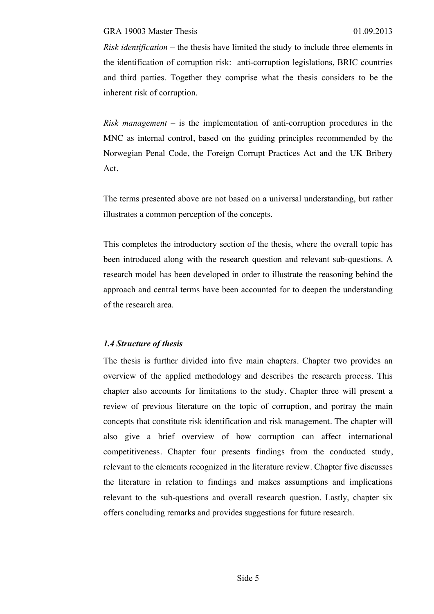*Risk identification* – the thesis have limited the study to include three elements in the identification of corruption risk: anti-corruption legislations, BRIC countries and third parties. Together they comprise what the thesis considers to be the inherent risk of corruption.

*Risk management –* is the implementation of anti-corruption procedures in the MNC as internal control, based on the guiding principles recommended by the Norwegian Penal Code, the Foreign Corrupt Practices Act and the UK Bribery Act.

The terms presented above are not based on a universal understanding, but rather illustrates a common perception of the concepts.

This completes the introductory section of the thesis, where the overall topic has been introduced along with the research question and relevant sub-questions. A research model has been developed in order to illustrate the reasoning behind the approach and central terms have been accounted for to deepen the understanding of the research area.

# *1.4 Structure of thesis*

The thesis is further divided into five main chapters. Chapter two provides an overview of the applied methodology and describes the research process. This chapter also accounts for limitations to the study. Chapter three will present a review of previous literature on the topic of corruption, and portray the main concepts that constitute risk identification and risk management. The chapter will also give a brief overview of how corruption can affect international competitiveness. Chapter four presents findings from the conducted study, relevant to the elements recognized in the literature review. Chapter five discusses the literature in relation to findings and makes assumptions and implications relevant to the sub-questions and overall research question. Lastly, chapter six offers concluding remarks and provides suggestions for future research.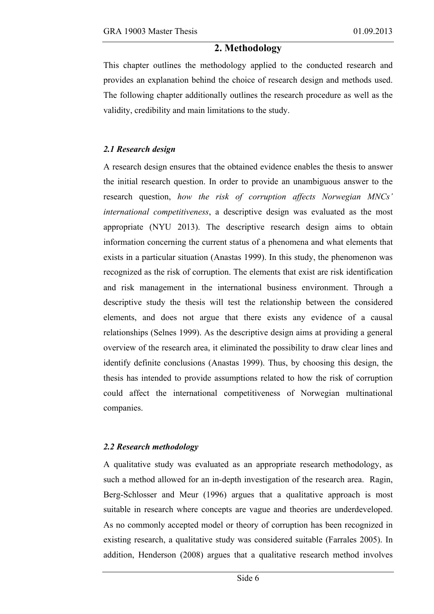## **2. Methodology**

This chapter outlines the methodology applied to the conducted research and provides an explanation behind the choice of research design and methods used. The following chapter additionally outlines the research procedure as well as the validity, credibility and main limitations to the study.

#### *2.1 Research design*

A research design ensures that the obtained evidence enables the thesis to answer the initial research question. In order to provide an unambiguous answer to the research question, *how the risk of corruption affects Norwegian MNCs' international competitiveness*, a descriptive design was evaluated as the most appropriate (NYU 2013). The descriptive research design aims to obtain information concerning the current status of a phenomena and what elements that exists in a particular situation (Anastas 1999). In this study, the phenomenon was recognized as the risk of corruption. The elements that exist are risk identification and risk management in the international business environment. Through a descriptive study the thesis will test the relationship between the considered elements, and does not argue that there exists any evidence of a causal relationships (Selnes 1999). As the descriptive design aims at providing a general overview of the research area, it eliminated the possibility to draw clear lines and identify definite conclusions (Anastas 1999). Thus, by choosing this design, the thesis has intended to provide assumptions related to how the risk of corruption could affect the international competitiveness of Norwegian multinational companies.

#### *2.2 Research methodology*

A qualitative study was evaluated as an appropriate research methodology, as such a method allowed for an in-depth investigation of the research area. Ragin, Berg-Schlosser and Meur (1996) argues that a qualitative approach is most suitable in research where concepts are vague and theories are underdeveloped. As no commonly accepted model or theory of corruption has been recognized in existing research, a qualitative study was considered suitable (Farrales 2005). In addition, Henderson (2008) argues that a qualitative research method involves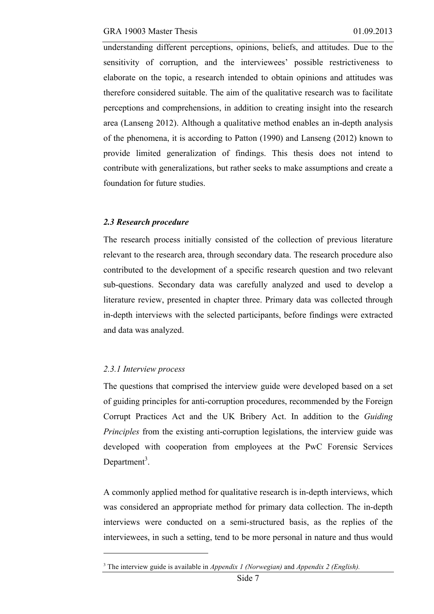understanding different perceptions, opinions, beliefs, and attitudes. Due to the sensitivity of corruption, and the interviewees' possible restrictiveness to elaborate on the topic, a research intended to obtain opinions and attitudes was therefore considered suitable. The aim of the qualitative research was to facilitate perceptions and comprehensions, in addition to creating insight into the research area (Lanseng 2012). Although a qualitative method enables an in-depth analysis of the phenomena, it is according to Patton (1990) and Lanseng (2012) known to provide limited generalization of findings. This thesis does not intend to contribute with generalizations, but rather seeks to make assumptions and create a foundation for future studies.

#### *2.3 Research procedure*

The research process initially consisted of the collection of previous literature relevant to the research area, through secondary data. The research procedure also contributed to the development of a specific research question and two relevant sub-questions. Secondary data was carefully analyzed and used to develop a literature review, presented in chapter three. Primary data was collected through in-depth interviews with the selected participants, before findings were extracted and data was analyzed.

#### *2.3.1 Interview process*

 $\overline{a}$ 

The questions that comprised the interview guide were developed based on a set of guiding principles for anti-corruption procedures, recommended by the Foreign Corrupt Practices Act and the UK Bribery Act. In addition to the *Guiding Principles* from the existing anti-corruption legislations, the interview guide was developed with cooperation from employees at the PwC Forensic Services Department<sup>3</sup>.

A commonly applied method for qualitative research is in-depth interviews, which was considered an appropriate method for primary data collection. The in-depth interviews were conducted on a semi-structured basis, as the replies of the interviewees, in such a setting, tend to be more personal in nature and thus would

<sup>3</sup> The interview guide is available in *Appendix 1 (Norwegian)* and *Appendix 2 (English).*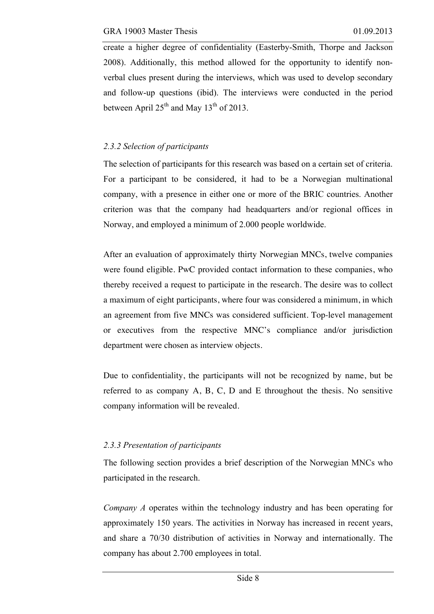create a higher degree of confidentiality (Easterby-Smith, Thorpe and Jackson 2008). Additionally, this method allowed for the opportunity to identify nonverbal clues present during the interviews, which was used to develop secondary and follow-up questions (ibid). The interviews were conducted in the period between April  $25<sup>th</sup>$  and May 13<sup>th</sup> of 2013.

#### *2.3.2 Selection of participants*

The selection of participants for this research was based on a certain set of criteria. For a participant to be considered, it had to be a Norwegian multinational company, with a presence in either one or more of the BRIC countries. Another criterion was that the company had headquarters and/or regional offices in Norway, and employed a minimum of 2.000 people worldwide.

After an evaluation of approximately thirty Norwegian MNCs, twelve companies were found eligible. PwC provided contact information to these companies, who thereby received a request to participate in the research. The desire was to collect a maximum of eight participants, where four was considered a minimum, in which an agreement from five MNCs was considered sufficient. Top-level management or executives from the respective MNC's compliance and/or jurisdiction department were chosen as interview objects.

Due to confidentiality, the participants will not be recognized by name, but be referred to as company A, B, C, D and E throughout the thesis. No sensitive company information will be revealed.

#### *2.3.3 Presentation of participants*

The following section provides a brief description of the Norwegian MNCs who participated in the research.

*Company A* operates within the technology industry and has been operating for approximately 150 years. The activities in Norway has increased in recent years, and share a 70/30 distribution of activities in Norway and internationally. The company has about 2.700 employees in total.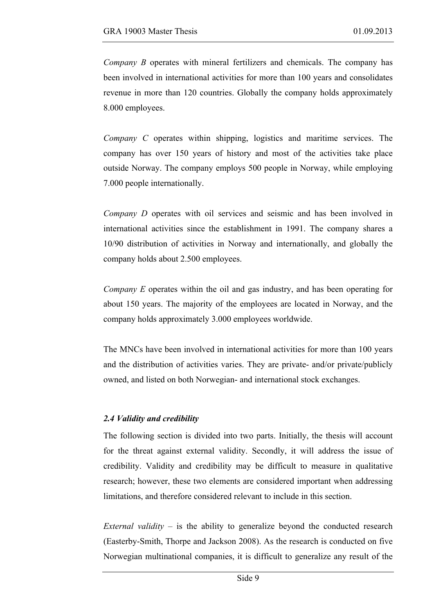*Company B* operates with mineral fertilizers and chemicals. The company has been involved in international activities for more than 100 years and consolidates revenue in more than 120 countries. Globally the company holds approximately 8.000 employees.

*Company C* operates within shipping, logistics and maritime services. The company has over 150 years of history and most of the activities take place outside Norway. The company employs 500 people in Norway, while employing 7.000 people internationally.

*Company D* operates with oil services and seismic and has been involved in international activities since the establishment in 1991. The company shares a 10/90 distribution of activities in Norway and internationally, and globally the company holds about 2.500 employees.

*Company E* operates within the oil and gas industry, and has been operating for about 150 years. The majority of the employees are located in Norway, and the company holds approximately 3.000 employees worldwide.

The MNCs have been involved in international activities for more than 100 years and the distribution of activities varies. They are private- and/or private/publicly owned, and listed on both Norwegian- and international stock exchanges.

#### *2.4 Validity and credibility*

The following section is divided into two parts. Initially, the thesis will account for the threat against external validity. Secondly, it will address the issue of credibility. Validity and credibility may be difficult to measure in qualitative research; however, these two elements are considered important when addressing limitations, and therefore considered relevant to include in this section.

*External validity –* is the ability to generalize beyond the conducted research (Easterby-Smith, Thorpe and Jackson 2008). As the research is conducted on five Norwegian multinational companies, it is difficult to generalize any result of the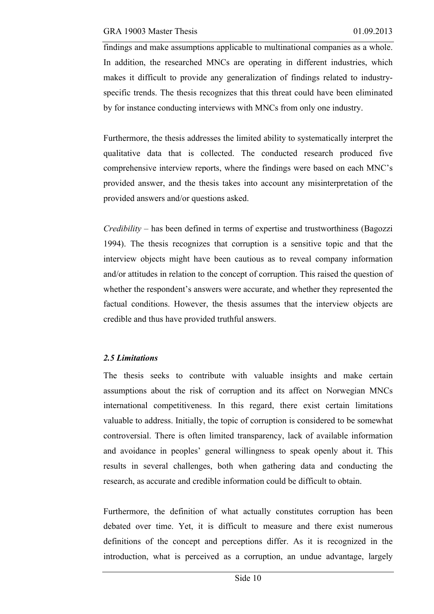findings and make assumptions applicable to multinational companies as a whole. In addition, the researched MNCs are operating in different industries, which makes it difficult to provide any generalization of findings related to industryspecific trends. The thesis recognizes that this threat could have been eliminated by for instance conducting interviews with MNCs from only one industry.

Furthermore, the thesis addresses the limited ability to systematically interpret the qualitative data that is collected. The conducted research produced five comprehensive interview reports, where the findings were based on each MNC's provided answer, and the thesis takes into account any misinterpretation of the provided answers and/or questions asked.

*Credibility –* has been defined in terms of expertise and trustworthiness (Bagozzi 1994). The thesis recognizes that corruption is a sensitive topic and that the interview objects might have been cautious as to reveal company information and/or attitudes in relation to the concept of corruption. This raised the question of whether the respondent's answers were accurate, and whether they represented the factual conditions. However, the thesis assumes that the interview objects are credible and thus have provided truthful answers.

#### *2.5 Limitations*

The thesis seeks to contribute with valuable insights and make certain assumptions about the risk of corruption and its affect on Norwegian MNCs international competitiveness. In this regard, there exist certain limitations valuable to address. Initially, the topic of corruption is considered to be somewhat controversial. There is often limited transparency, lack of available information and avoidance in peoples' general willingness to speak openly about it. This results in several challenges, both when gathering data and conducting the research, as accurate and credible information could be difficult to obtain.

Furthermore, the definition of what actually constitutes corruption has been debated over time. Yet, it is difficult to measure and there exist numerous definitions of the concept and perceptions differ. As it is recognized in the introduction, what is perceived as a corruption, an undue advantage, largely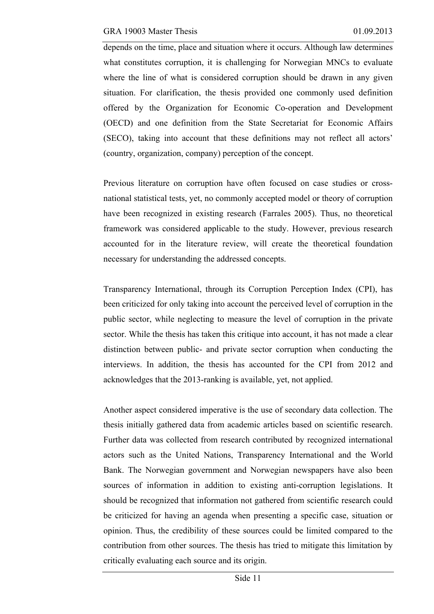depends on the time, place and situation where it occurs. Although law determines what constitutes corruption, it is challenging for Norwegian MNCs to evaluate where the line of what is considered corruption should be drawn in any given situation. For clarification, the thesis provided one commonly used definition offered by the Organization for Economic Co-operation and Development (OECD) and one definition from the State Secretariat for Economic Affairs (SECO), taking into account that these definitions may not reflect all actors' (country, organization, company) perception of the concept.

Previous literature on corruption have often focused on case studies or crossnational statistical tests, yet, no commonly accepted model or theory of corruption have been recognized in existing research (Farrales 2005). Thus, no theoretical framework was considered applicable to the study. However, previous research accounted for in the literature review, will create the theoretical foundation necessary for understanding the addressed concepts.

Transparency International, through its Corruption Perception Index (CPI), has been criticized for only taking into account the perceived level of corruption in the public sector, while neglecting to measure the level of corruption in the private sector. While the thesis has taken this critique into account, it has not made a clear distinction between public- and private sector corruption when conducting the interviews. In addition, the thesis has accounted for the CPI from 2012 and acknowledges that the 2013-ranking is available, yet, not applied.

Another aspect considered imperative is the use of secondary data collection. The thesis initially gathered data from academic articles based on scientific research. Further data was collected from research contributed by recognized international actors such as the United Nations, Transparency International and the World Bank. The Norwegian government and Norwegian newspapers have also been sources of information in addition to existing anti-corruption legislations. It should be recognized that information not gathered from scientific research could be criticized for having an agenda when presenting a specific case, situation or opinion. Thus, the credibility of these sources could be limited compared to the contribution from other sources. The thesis has tried to mitigate this limitation by critically evaluating each source and its origin.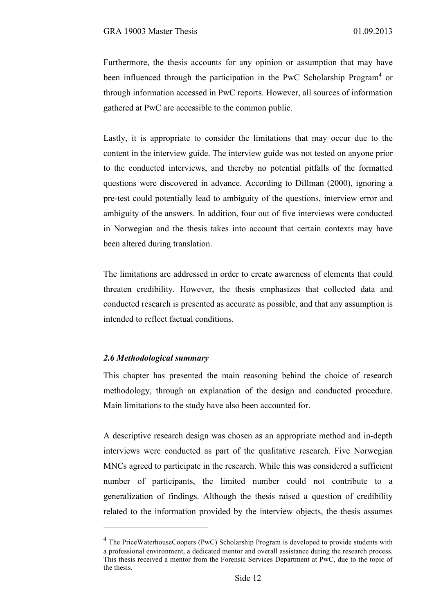Furthermore, the thesis accounts for any opinion or assumption that may have been influenced through the participation in the PwC Scholarship Program<sup>4</sup> or through information accessed in PwC reports. However, all sources of information gathered at PwC are accessible to the common public.

Lastly, it is appropriate to consider the limitations that may occur due to the content in the interview guide. The interview guide was not tested on anyone prior to the conducted interviews, and thereby no potential pitfalls of the formatted questions were discovered in advance. According to Dillman (2000), ignoring a pre-test could potentially lead to ambiguity of the questions, interview error and ambiguity of the answers. In addition, four out of five interviews were conducted in Norwegian and the thesis takes into account that certain contexts may have been altered during translation.

The limitations are addressed in order to create awareness of elements that could threaten credibility. However, the thesis emphasizes that collected data and conducted research is presented as accurate as possible, and that any assumption is intended to reflect factual conditions.

#### *2.6 Methodological summary*

 $\overline{a}$ 

This chapter has presented the main reasoning behind the choice of research methodology, through an explanation of the design and conducted procedure. Main limitations to the study have also been accounted for.

A descriptive research design was chosen as an appropriate method and in-depth interviews were conducted as part of the qualitative research. Five Norwegian MNCs agreed to participate in the research. While this was considered a sufficient number of participants, the limited number could not contribute to a generalization of findings. Although the thesis raised a question of credibility related to the information provided by the interview objects, the thesis assumes

<sup>&</sup>lt;sup>4</sup> The PriceWaterhouseCoopers (PwC) Scholarship Program is developed to provide students with a professional environment, a dedicated mentor and overall assistance during the research process. This thesis received a mentor from the Forensic Services Department at PwC, due to the topic of the thesis.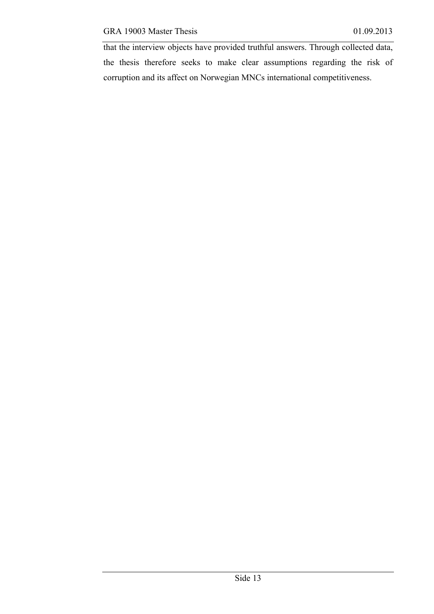that the interview objects have provided truthful answers. Through collected data, the thesis therefore seeks to make clear assumptions regarding the risk of corruption and its affect on Norwegian MNCs international competitiveness.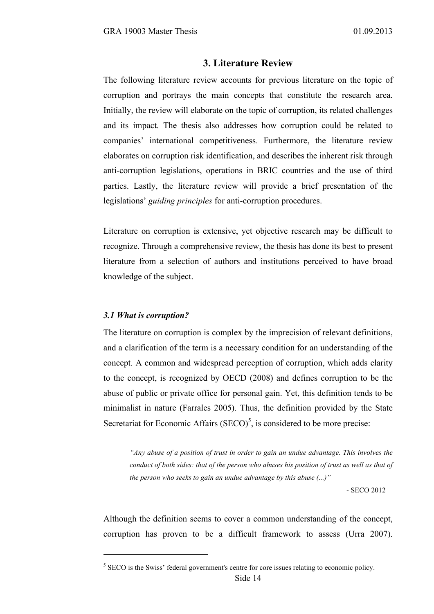#### **3. Literature Review**

The following literature review accounts for previous literature on the topic of corruption and portrays the main concepts that constitute the research area. Initially, the review will elaborate on the topic of corruption, its related challenges and its impact. The thesis also addresses how corruption could be related to companies' international competitiveness. Furthermore, the literature review elaborates on corruption risk identification, and describes the inherent risk through anti-corruption legislations, operations in BRIC countries and the use of third parties. Lastly, the literature review will provide a brief presentation of the legislations' *guiding principles* for anti-corruption procedures.

Literature on corruption is extensive, yet objective research may be difficult to recognize. Through a comprehensive review, the thesis has done its best to present literature from a selection of authors and institutions perceived to have broad knowledge of the subject.

#### *3.1 What is corruption?*

 $\overline{a}$ 

The literature on corruption is complex by the imprecision of relevant definitions, and a clarification of the term is a necessary condition for an understanding of the concept. A common and widespread perception of corruption, which adds clarity to the concept, is recognized by OECD (2008) and defines corruption to be the abuse of public or private office for personal gain. Yet, this definition tends to be minimalist in nature (Farrales 2005). Thus, the definition provided by the State Secretariat for Economic Affairs  $(SECO)^5$ , is considered to be more precise:

*"Any abuse of a position of trust in order to gain an undue advantage. This involves the conduct of both sides: that of the person who abuses his position of trust as well as that of the person who seeks to gain an undue advantage by this abuse (...)"*

- SECO 2012

Although the definition seems to cover a common understanding of the concept, corruption has proven to be a difficult framework to assess (Urra 2007).

 $<sup>5</sup>$  SECO is the Swiss' federal government's centre for core issues relating to economic policy.</sup>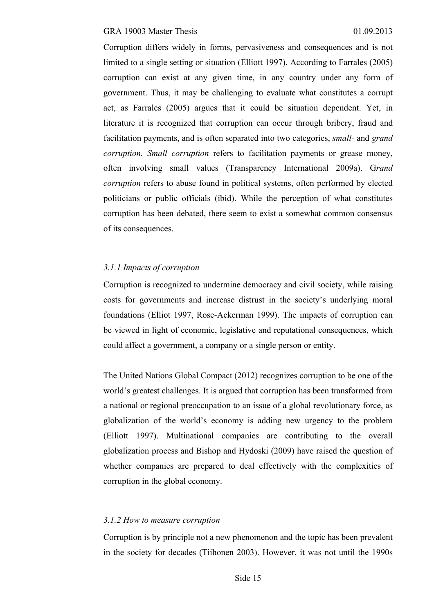Corruption differs widely in forms, pervasiveness and consequences and is not limited to a single setting or situation (Elliott 1997). According to Farrales (2005) corruption can exist at any given time, in any country under any form of government. Thus, it may be challenging to evaluate what constitutes a corrupt act, as Farrales (2005) argues that it could be situation dependent. Yet, in literature it is recognized that corruption can occur through bribery, fraud and facilitation payments, and is often separated into two categories, *small-* and *grand corruption. Small corruption* refers to facilitation payments or grease money, often involving small values (Transparency International 2009a). G*rand corruption* refers to abuse found in political systems, often performed by elected politicians or public officials (ibid). While the perception of what constitutes corruption has been debated, there seem to exist a somewhat common consensus of its consequences.

### *3.1.1 Impacts of corruption*

Corruption is recognized to undermine democracy and civil society, while raising costs for governments and increase distrust in the society's underlying moral foundations (Elliot 1997, Rose-Ackerman 1999). The impacts of corruption can be viewed in light of economic, legislative and reputational consequences, which could affect a government, a company or a single person or entity.

The United Nations Global Compact (2012) recognizes corruption to be one of the world's greatest challenges. It is argued that corruption has been transformed from a national or regional preoccupation to an issue of a global revolutionary force, as globalization of the world's economy is adding new urgency to the problem (Elliott 1997). Multinational companies are contributing to the overall globalization process and Bishop and Hydoski (2009) have raised the question of whether companies are prepared to deal effectively with the complexities of corruption in the global economy.

# *3.1.2 How to measure corruption*

Corruption is by principle not a new phenomenon and the topic has been prevalent in the society for decades (Tiihonen 2003). However, it was not until the 1990s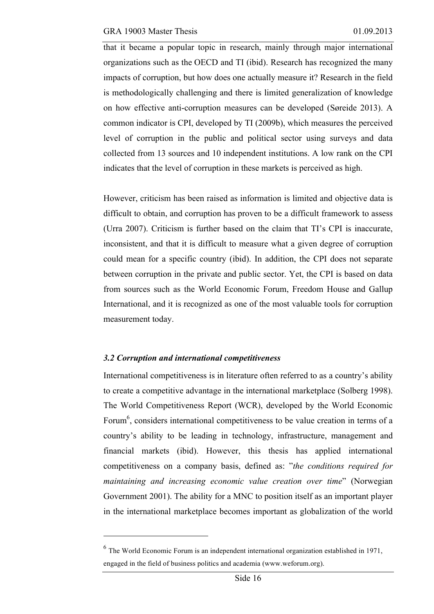that it became a popular topic in research, mainly through major international organizations such as the OECD and TI (ibid). Research has recognized the many impacts of corruption, but how does one actually measure it? Research in the field is methodologically challenging and there is limited generalization of knowledge on how effective anti-corruption measures can be developed (Søreide 2013). A common indicator is CPI, developed by TI (2009b), which measures the perceived level of corruption in the public and political sector using surveys and data collected from 13 sources and 10 independent institutions. A low rank on the CPI indicates that the level of corruption in these markets is perceived as high.

However, criticism has been raised as information is limited and objective data is difficult to obtain, and corruption has proven to be a difficult framework to assess (Urra 2007). Criticism is further based on the claim that TI's CPI is inaccurate, inconsistent, and that it is difficult to measure what a given degree of corruption could mean for a specific country (ibid). In addition, the CPI does not separate between corruption in the private and public sector. Yet, the CPI is based on data from sources such as the World Economic Forum, Freedom House and Gallup International, and it is recognized as one of the most valuable tools for corruption measurement today.

#### *3.2 Corruption and international competitiveness*

 $\overline{a}$ 

International competitiveness is in literature often referred to as a country's ability to create a competitive advantage in the international marketplace (Solberg 1998). The World Competitiveness Report (WCR), developed by the World Economic Forum<sup>6</sup>, considers international competitiveness to be value creation in terms of a country's ability to be leading in technology, infrastructure, management and financial markets (ibid). However, this thesis has applied international competitiveness on a company basis, defined as: "*the conditions required for maintaining and increasing economic value creation over time*" (Norwegian Government 2001). The ability for a MNC to position itself as an important player in the international marketplace becomes important as globalization of the world

<sup>6</sup> The World Economic Forum is an independent international organization established in 1971, engaged in the field of business politics and academia (www.weforum.org).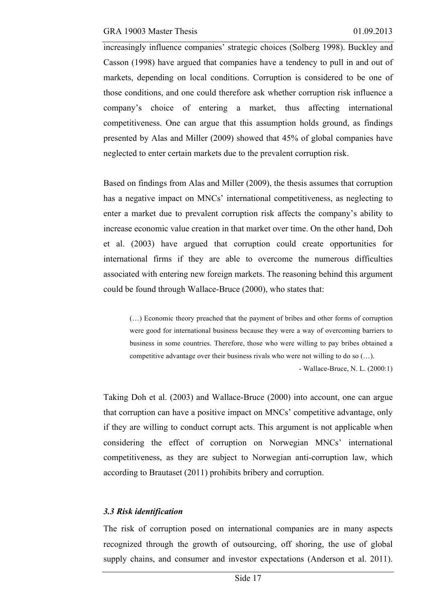increasingly influence companies' strategic choices (Solberg 1998). Buckley and Casson (1998) have argued that companies have a tendency to pull in and out of markets, depending on local conditions. Corruption is considered to be one of those conditions, and one could therefore ask whether corruption risk influence a company's choice of entering a market, thus affecting international competitiveness. One can argue that this assumption holds ground, as findings presented by Alas and Miller (2009) showed that 45% of global companies have neglected to enter certain markets due to the prevalent corruption risk.

Based on findings from Alas and Miller (2009), the thesis assumes that corruption has a negative impact on MNCs' international competitiveness, as neglecting to enter a market due to prevalent corruption risk affects the company's ability to increase economic value creation in that market over time. On the other hand, Doh et al. (2003) have argued that corruption could create opportunities for international firms if they are able to overcome the numerous difficulties associated with entering new foreign markets. The reasoning behind this argument could be found through Wallace-Bruce (2000), who states that:

(…) Economic theory preached that the payment of bribes and other forms of corruption were good for international business because they were a way of overcoming barriers to business in some countries. Therefore, those who were willing to pay bribes obtained a competitive advantage over their business rivals who were not willing to do so  $(...)$ . - Wallace-Bruce, N. L. (2000:1)

Taking Doh et al. (2003) and Wallace-Bruce (2000) into account, one can argue that corruption can have a positive impact on MNCs' competitive advantage, only if they are willing to conduct corrupt acts. This argument is not applicable when considering the effect of corruption on Norwegian MNCs' international competitiveness, as they are subject to Norwegian anti-corruption law, which according to Brautaset (2011) prohibits bribery and corruption.

#### *3.3 Risk identification*

The risk of corruption posed on international companies are in many aspects recognized through the growth of outsourcing, off shoring, the use of global supply chains, and consumer and investor expectations (Anderson et al. 2011).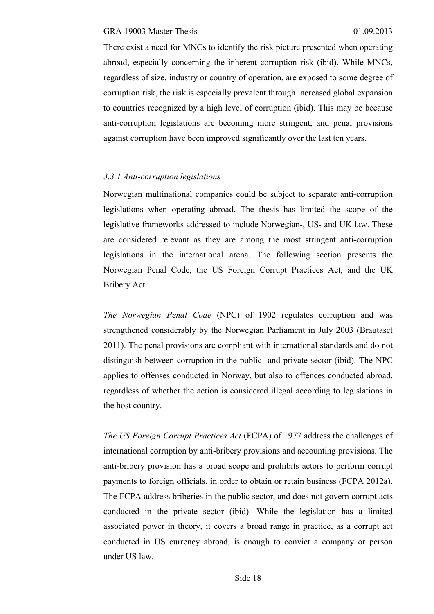There exist a need for MNCs to identify the risk picture presented when operating abroad, especially concerning the inherent corruption risk (ibid). While MNCs, regardless of size, industry or country of operation, are exposed to some degree of corruption risk, the risk is especially prevalent through increased global expansion to countries recognized by a high level of corruption (ibid). This may be because anti-corruption legislations are becoming more stringent, and penal provisions against corruption have been improved significantly over the last ten years.

#### *3.3.1 Anti-corruption legislations*

Norwegian multinational companies could be subject to separate anti-corruption legislations when operating abroad. The thesis has limited the scope of the legislative frameworks addressed to include Norwegian-, US- and UK law. These are considered relevant as they are among the most stringent anti-corruption legislations in the international arena. The following section presents the Norwegian Penal Code, the US Foreign Corrupt Practices Act, and the UK Bribery Act.

*The Norwegian Penal Code* (NPC) of 1902 regulates corruption and was strengthened considerably by the Norwegian Parliament in July 2003 (Brautaset 2011). The penal provisions are compliant with international standards and do not distinguish between corruption in the public- and private sector (ibid). The NPC applies to offenses conducted in Norway, but also to offences conducted abroad, regardless of whether the action is considered illegal according to legislations in the host country.

*The US Foreign Corrupt Practices Act* (FCPA) of 1977 address the challenges of international corruption by anti-bribery provisions and accounting provisions. The anti-bribery provision has a broad scope and prohibits actors to perform corrupt payments to foreign officials, in order to obtain or retain business (FCPA 2012a). The FCPA address briberies in the public sector, and does not govern corrupt acts conducted in the private sector (ibid). While the legislation has a limited associated power in theory, it covers a broad range in practice, as a corrupt act conducted in US currency abroad, is enough to convict a company or person under US law.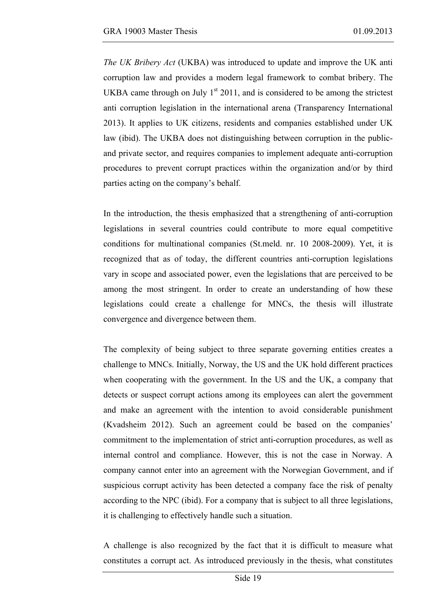*The UK Bribery Act* (UKBA) was introduced to update and improve the UK anti corruption law and provides a modern legal framework to combat bribery. The UKBA came through on July  $1<sup>st</sup> 2011$ , and is considered to be among the strictest anti corruption legislation in the international arena (Transparency International 2013). It applies to UK citizens, residents and companies established under UK law (ibid). The UKBA does not distinguishing between corruption in the publicand private sector, and requires companies to implement adequate anti-corruption procedures to prevent corrupt practices within the organization and/or by third parties acting on the company's behalf.

In the introduction, the thesis emphasized that a strengthening of anti-corruption legislations in several countries could contribute to more equal competitive conditions for multinational companies (St.meld. nr. 10 2008-2009). Yet, it is recognized that as of today, the different countries anti-corruption legislations vary in scope and associated power, even the legislations that are perceived to be among the most stringent. In order to create an understanding of how these legislations could create a challenge for MNCs, the thesis will illustrate convergence and divergence between them.

The complexity of being subject to three separate governing entities creates a challenge to MNCs. Initially, Norway, the US and the UK hold different practices when cooperating with the government. In the US and the UK, a company that detects or suspect corrupt actions among its employees can alert the government and make an agreement with the intention to avoid considerable punishment (Kvadsheim 2012). Such an agreement could be based on the companies' commitment to the implementation of strict anti-corruption procedures, as well as internal control and compliance. However, this is not the case in Norway. A company cannot enter into an agreement with the Norwegian Government, and if suspicious corrupt activity has been detected a company face the risk of penalty according to the NPC (ibid). For a company that is subject to all three legislations, it is challenging to effectively handle such a situation.

A challenge is also recognized by the fact that it is difficult to measure what constitutes a corrupt act. As introduced previously in the thesis, what constitutes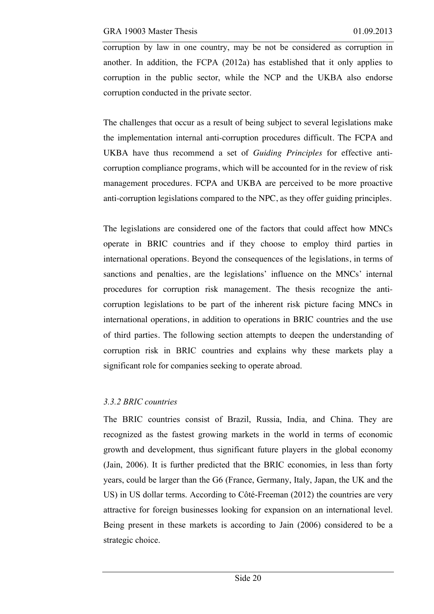corruption by law in one country, may be not be considered as corruption in another. In addition, the FCPA (2012a) has established that it only applies to corruption in the public sector, while the NCP and the UKBA also endorse corruption conducted in the private sector.

The challenges that occur as a result of being subject to several legislations make the implementation internal anti-corruption procedures difficult. The FCPA and UKBA have thus recommend a set of *Guiding Principles* for effective anticorruption compliance programs, which will be accounted for in the review of risk management procedures. FCPA and UKBA are perceived to be more proactive anti-corruption legislations compared to the NPC, as they offer guiding principles.

The legislations are considered one of the factors that could affect how MNCs operate in BRIC countries and if they choose to employ third parties in international operations. Beyond the consequences of the legislations, in terms of sanctions and penalties, are the legislations' influence on the MNCs' internal procedures for corruption risk management. The thesis recognize the anticorruption legislations to be part of the inherent risk picture facing MNCs in international operations, in addition to operations in BRIC countries and the use of third parties. The following section attempts to deepen the understanding of corruption risk in BRIC countries and explains why these markets play a significant role for companies seeking to operate abroad.

# *3.3.2 BRIC countries*

The BRIC countries consist of Brazil, Russia, India, and China. They are recognized as the fastest growing markets in the world in terms of economic growth and development, thus significant future players in the global economy (Jain, 2006). It is further predicted that the BRIC economies, in less than forty years, could be larger than the G6 (France, Germany, Italy, Japan, the UK and the US) in US dollar terms. According to Côté-Freeman (2012) the countries are very attractive for foreign businesses looking for expansion on an international level. Being present in these markets is according to Jain (2006) considered to be a strategic choice.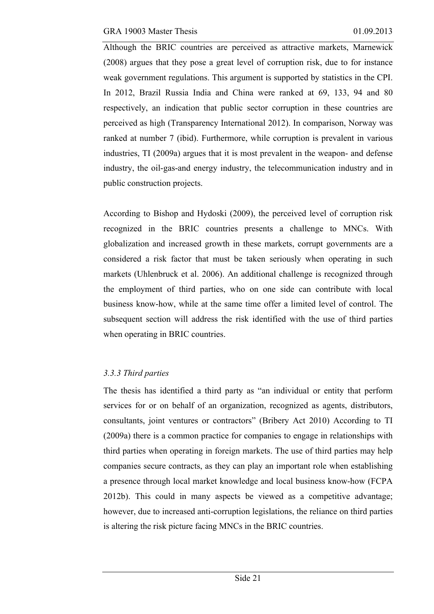Although the BRIC countries are perceived as attractive markets, Marnewick (2008) argues that they pose a great level of corruption risk, due to for instance weak government regulations. This argument is supported by statistics in the CPI. In 2012, Brazil Russia India and China were ranked at 69, 133, 94 and 80 respectively, an indication that public sector corruption in these countries are perceived as high (Transparency International 2012). In comparison, Norway was ranked at number 7 (ibid). Furthermore, while corruption is prevalent in various industries, TI (2009a) argues that it is most prevalent in the weapon- and defense industry, the oil-gas-and energy industry, the telecommunication industry and in public construction projects.

According to Bishop and Hydoski (2009), the perceived level of corruption risk recognized in the BRIC countries presents a challenge to MNCs. With globalization and increased growth in these markets, corrupt governments are a considered a risk factor that must be taken seriously when operating in such markets (Uhlenbruck et al. 2006). An additional challenge is recognized through the employment of third parties, who on one side can contribute with local business know-how, while at the same time offer a limited level of control. The subsequent section will address the risk identified with the use of third parties when operating in BRIC countries.

# *3.3.3 Third parties*

The thesis has identified a third party as "an individual or entity that perform services for or on behalf of an organization, recognized as agents, distributors, consultants, joint ventures or contractors" (Bribery Act 2010) According to TI (2009a) there is a common practice for companies to engage in relationships with third parties when operating in foreign markets. The use of third parties may help companies secure contracts, as they can play an important role when establishing a presence through local market knowledge and local business know-how (FCPA 2012b). This could in many aspects be viewed as a competitive advantage; however, due to increased anti-corruption legislations, the reliance on third parties is altering the risk picture facing MNCs in the BRIC countries.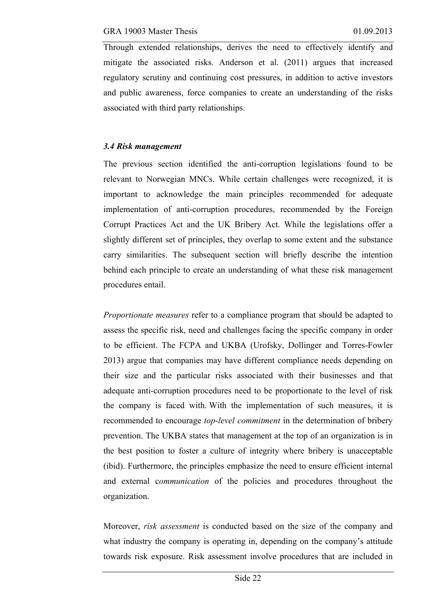Through extended relationships, derives the need to effectively identify and mitigate the associated risks. Anderson et al. (2011) argues that increased regulatory scrutiny and continuing cost pressures, in addition to active investors and public awareness, force companies to create an understanding of the risks associated with third party relationships.

#### *3.4 Risk management*

The previous section identified the anti-corruption legislations found to be relevant to Norwegian MNCs. While certain challenges were recognized, it is important to acknowledge the main principles recommended for adequate implementation of anti-corruption procedures, recommended by the Foreign Corrupt Practices Act and the UK Bribery Act. While the legislations offer a slightly different set of principles, they overlap to some extent and the substance carry similarities. The subsequent section will briefly describe the intention behind each principle to create an understanding of what these risk management procedures entail.

*Proportionate measures* refer to a compliance program that should be adapted to assess the specific risk, need and challenges facing the specific company in order to be efficient. The FCPA and UKBA (Urofsky, Dollinger and Torres-Fowler 2013) argue that companies may have different compliance needs depending on their size and the particular risks associated with their businesses and that adequate anti-corruption procedures need to be proportionate to the level of risk the company is faced with. With the implementation of such measures, it is recommended to encourage *top-level commitment* in the determination of bribery prevention. The UKBA states that management at the top of an organization is in the best position to foster a culture of integrity where bribery is unacceptable (ibid). Furthermore, the principles emphasize the need to ensure efficient internal and external c*ommunication* of the policies and procedures throughout the organization.

Moreover, *risk assessment* is conducted based on the size of the company and what industry the company is operating in, depending on the company's attitude towards risk exposure. Risk assessment involve procedures that are included in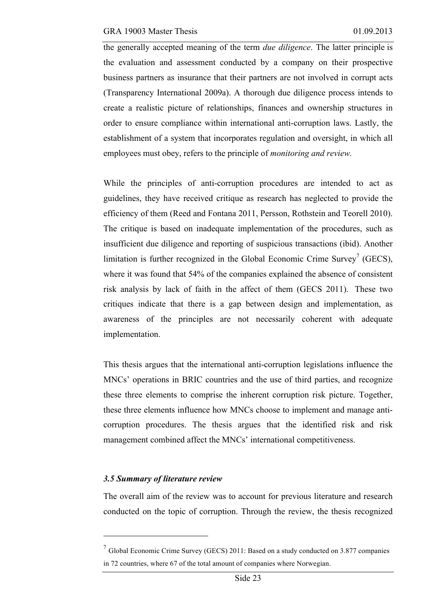the generally accepted meaning of the term *due diligence*. The latter principle is the evaluation and assessment conducted by a company on their prospective business partners as insurance that their partners are not involved in corrupt acts (Transparency International 2009a). A thorough due diligence process intends to create a realistic picture of relationships, finances and ownership structures in order to ensure compliance within international anti-corruption laws. Lastly, the establishment of a system that incorporates regulation and oversight, in which all employees must obey, refers to the principle of *monitoring and review.* 

While the principles of anti-corruption procedures are intended to act as guidelines, they have received critique as research has neglected to provide the efficiency of them (Reed and Fontana 2011, Persson, Rothstein and Teorell 2010). The critique is based on inadequate implementation of the procedures, such as insufficient due diligence and reporting of suspicious transactions (ibid). Another limitation is further recognized in the Global Economic Crime Survey<sup>7</sup> (GECS), where it was found that 54% of the companies explained the absence of consistent risk analysis by lack of faith in the affect of them (GECS 2011). These two critiques indicate that there is a gap between design and implementation, as awareness of the principles are not necessarily coherent with adequate implementation.

This thesis argues that the international anti-corruption legislations influence the MNCs' operations in BRIC countries and the use of third parties, and recognize these three elements to comprise the inherent corruption risk picture. Together, these three elements influence how MNCs choose to implement and manage anticorruption procedures. The thesis argues that the identified risk and risk management combined affect the MNCs' international competitiveness.

#### *3.5 Summary of literature review*

 $\overline{a}$ 

The overall aim of the review was to account for previous literature and research conducted on the topic of corruption. Through the review, the thesis recognized

 $<sup>7</sup>$  Global Economic Crime Survey (GECS) 2011: Based on a study conducted on 3.877 companies</sup> in 72 countries, where 67 of the total amount of companies where Norwegian.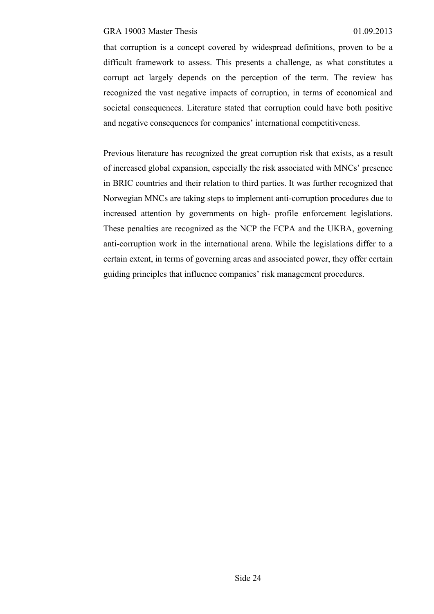that corruption is a concept covered by widespread definitions, proven to be a difficult framework to assess. This presents a challenge, as what constitutes a corrupt act largely depends on the perception of the term. The review has recognized the vast negative impacts of corruption, in terms of economical and societal consequences. Literature stated that corruption could have both positive and negative consequences for companies' international competitiveness.

Previous literature has recognized the great corruption risk that exists, as a result of increased global expansion, especially the risk associated with MNCs' presence in BRIC countries and their relation to third parties. It was further recognized that Norwegian MNCs are taking steps to implement anti-corruption procedures due to increased attention by governments on high- profile enforcement legislations. These penalties are recognized as the NCP the FCPA and the UKBA, governing anti-corruption work in the international arena. While the legislations differ to a certain extent, in terms of governing areas and associated power, they offer certain guiding principles that influence companies' risk management procedures.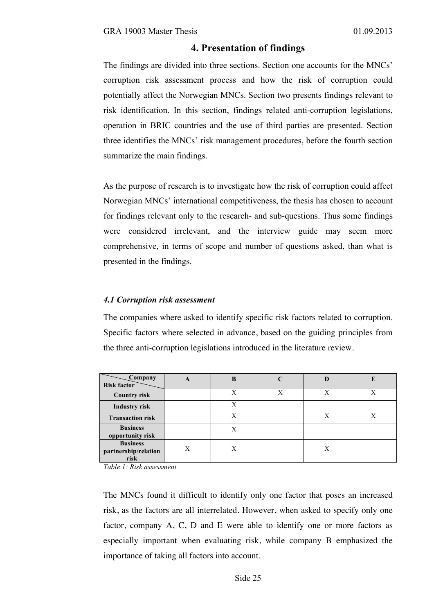## **4. Presentation of findings**

The findings are divided into three sections. Section one accounts for the MNCs' corruption risk assessment process and how the risk of corruption could potentially affect the Norwegian MNCs. Section two presents findings relevant to risk identification. In this section, findings related anti-corruption legislations, operation in BRIC countries and the use of third parties are presented. Section three identifies the MNCs' risk management procedures, before the fourth section summarize the main findings.

As the purpose of research is to investigate how the risk of corruption could affect Norwegian MNCs' international competitiveness, the thesis has chosen to account for findings relevant only to the research- and sub-questions. Thus some findings were considered irrelevant, and the interview guide may seem more comprehensive, in terms of scope and number of questions asked, than what is presented in the findings.

#### *4.1 Corruption risk assessment*

The companies where asked to identify specific risk factors related to corruption. Specific factors where selected in advance, based on the guiding principles from the three anti-corruption legislations introduced in the literature review.

| Company<br><b>Risk factor</b>                   | A | B |   | D |  |
|-------------------------------------------------|---|---|---|---|--|
| <b>Country risk</b>                             |   | X | X | X |  |
| <b>Industry risk</b>                            |   | X |   |   |  |
| <b>Transaction risk</b>                         |   | X |   | Х |  |
| <b>Business</b><br>opportunity risk             |   | X |   |   |  |
| <b>Business</b><br>partnership/relation<br>risk | Χ | Χ |   | X |  |

*Table 1: Risk assessment* 

The MNCs found it difficult to identify only one factor that poses an increased risk, as the factors are all interrelated. However, when asked to specify only one factor, company A, C, D and E were able to identify one or more factors as especially important when evaluating risk, while company B emphasized the importance of taking all factors into account.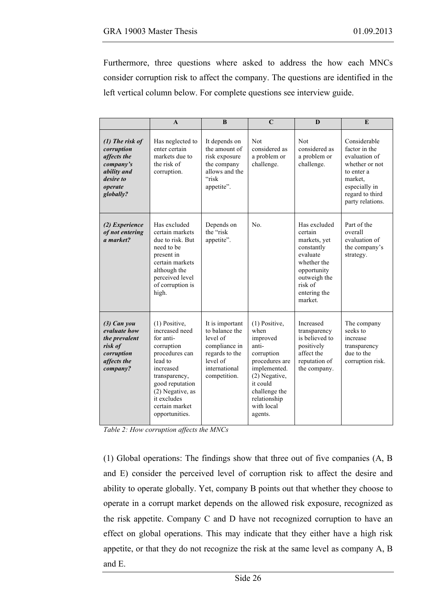Furthermore, three questions where asked to address the how each MNCs consider corruption risk to affect the company. The questions are identified in the left vertical column below. For complete questions see interview guide.

|                                                                                                                 | $\mathbf{A}$                                                                                                                                                                                                      | B                                                                                                                             | $\mathbf C$                                                                                                                                                                       | $\bf{D}$                                                                                                                                              | E                                                                                                                                                 |
|-----------------------------------------------------------------------------------------------------------------|-------------------------------------------------------------------------------------------------------------------------------------------------------------------------------------------------------------------|-------------------------------------------------------------------------------------------------------------------------------|-----------------------------------------------------------------------------------------------------------------------------------------------------------------------------------|-------------------------------------------------------------------------------------------------------------------------------------------------------|---------------------------------------------------------------------------------------------------------------------------------------------------|
| $(1)$ The risk of<br>corruption<br>affects the<br>company's<br>ability and<br>desire to<br>operate<br>globally? | Has neglected to<br>enter certain<br>markets due to<br>the risk of<br>corruption.                                                                                                                                 | It depends on<br>the amount of<br>risk exposure<br>the company<br>allows and the<br>"risk<br>appetite".                       | <b>Not</b><br>considered as<br>a problem or<br>challenge.                                                                                                                         | <b>Not</b><br>considered as<br>a problem or<br>challenge.                                                                                             | Considerable<br>factor in the<br>evaluation of<br>whether or not<br>to enter a<br>market.<br>especially in<br>regard to third<br>party relations. |
| (2) Experience<br>of not entering<br>a market?                                                                  | Has excluded<br>certain markets<br>due to risk. But<br>need to be<br>present in<br>certain markets<br>although the<br>perceived level<br>of corruption is<br>high.                                                | Depends on<br>the "risk<br>appetite".                                                                                         | No.                                                                                                                                                                               | Has excluded<br>certain<br>markets, yet<br>constantly<br>evaluate<br>whether the<br>opportunity<br>outweigh the<br>risk of<br>entering the<br>market. | Part of the<br>overall<br>evaluation of<br>the company's<br>strategy.                                                                             |
| $(3)$ Can you<br>evaluate how<br>the prevalent<br>risk of<br>corruption<br>affects the<br>company?              | $(1)$ Positive,<br>increased need<br>for anti-<br>corruption<br>procedures can<br>lead to<br>increased<br>transparency,<br>good reputation<br>(2) Negative, as<br>it excludes<br>certain market<br>opportunities. | It is important<br>to balance the<br>level of<br>compliance in<br>regards to the<br>level of<br>international<br>competition. | (1) Positive,<br>when<br>improved<br>anti-<br>corruption<br>procedures are<br>implemented.<br>(2) Negative,<br>it could<br>challenge the<br>relationship<br>with local<br>agents. | Increased<br>transparency<br>is believed to<br>positively<br>affect the<br>reputation of<br>the company.                                              | The company<br>seeks to<br>increase<br>transparency<br>due to the<br>corruption risk.                                                             |

*Table 2: How corruption affects the MNCs*

(1) Global operations: The findings show that three out of five companies (A, B and E) consider the perceived level of corruption risk to affect the desire and ability to operate globally. Yet, company B points out that whether they choose to operate in a corrupt market depends on the allowed risk exposure, recognized as the risk appetite. Company C and D have not recognized corruption to have an effect on global operations. This may indicate that they either have a high risk appetite, or that they do not recognize the risk at the same level as company A, B and E.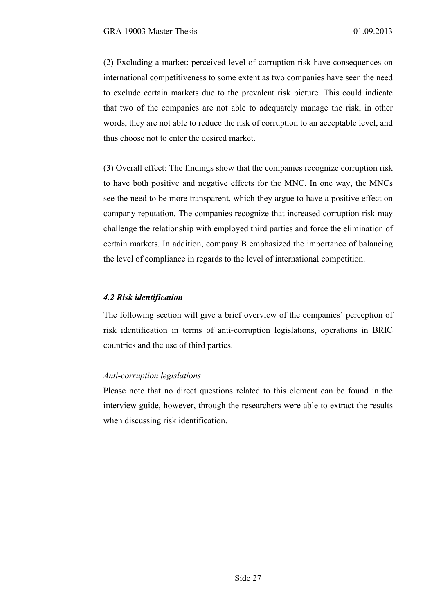(2) Excluding a market: perceived level of corruption risk have consequences on international competitiveness to some extent as two companies have seen the need to exclude certain markets due to the prevalent risk picture. This could indicate that two of the companies are not able to adequately manage the risk, in other words, they are not able to reduce the risk of corruption to an acceptable level, and thus choose not to enter the desired market.

(3) Overall effect: The findings show that the companies recognize corruption risk to have both positive and negative effects for the MNC. In one way, the MNCs see the need to be more transparent, which they argue to have a positive effect on company reputation. The companies recognize that increased corruption risk may challenge the relationship with employed third parties and force the elimination of certain markets. In addition, company B emphasized the importance of balancing the level of compliance in regards to the level of international competition.

### *4.2 Risk identification*

The following section will give a brief overview of the companies' perception of risk identification in terms of anti-corruption legislations, operations in BRIC countries and the use of third parties.

#### *Anti-corruption legislations*

Please note that no direct questions related to this element can be found in the interview guide, however, through the researchers were able to extract the results when discussing risk identification.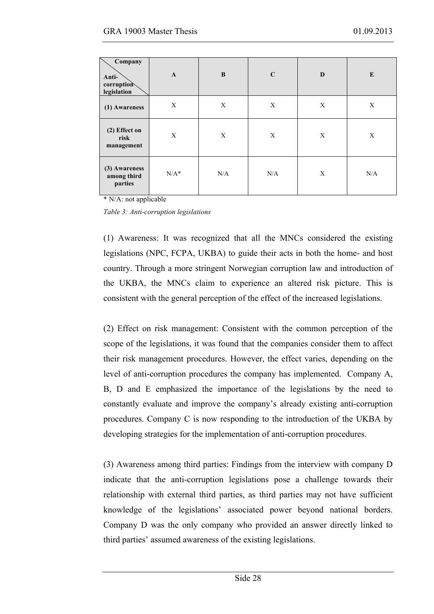| Company<br>Anti-<br>corruption<br>legislation | $\mathbf{A}$ | B   | $\mathbf C$ | $\bf{D}$ | E   |
|-----------------------------------------------|--------------|-----|-------------|----------|-----|
| (1) Awareness                                 | X            | X   | X           | X        | X   |
| (2) Effect on<br>risk<br>management           | X            | X   | X           | X        | X   |
| (3) Awareness<br>among third<br>parties       | $N/A^*$      | N/A | N/A         | X        | N/A |

\* N/A: not applicable

*Table 3: Anti-corruption legislations*

(1) Awareness: It was recognized that all the MNCs considered the existing legislations (NPC, FCPA, UKBA) to guide their acts in both the home- and host country. Through a more stringent Norwegian corruption law and introduction of the UKBA, the MNCs claim to experience an altered risk picture. This is consistent with the general perception of the effect of the increased legislations.

(2) Effect on risk management: Consistent with the common perception of the scope of the legislations, it was found that the companies consider them to affect their risk management procedures. However, the effect varies, depending on the level of anti-corruption procedures the company has implemented. Company A, B, D and E emphasized the importance of the legislations by the need to constantly evaluate and improve the company's already existing anti-corruption procedures. Company C is now responding to the introduction of the UKBA by developing strategies for the implementation of anti-corruption procedures.

(3) Awareness among third parties: Findings from the interview with company D indicate that the anti-corruption legislations pose a challenge towards their relationship with external third parties, as third parties may not have sufficient knowledge of the legislations' associated power beyond national borders. Company D was the only company who provided an answer directly linked to third parties' assumed awareness of the existing legislations.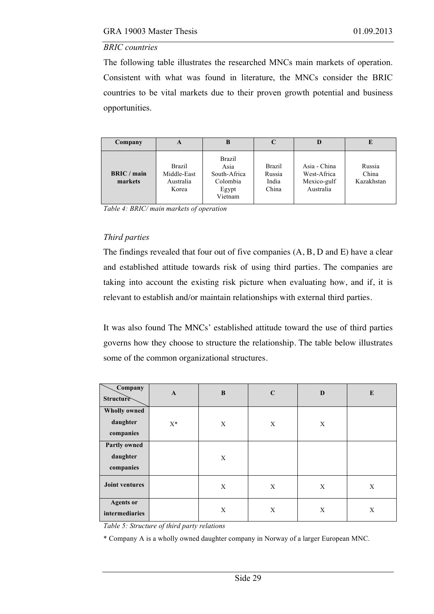#### *BRIC countries*

The following table illustrates the researched MNCs main markets of operation. Consistent with what was found in literature, the MNCs consider the BRIC countries to be vital markets due to their proven growth potential and business opportunities.

| Company                | A                                                  | В                                                                     |                                           |                                                         | E                             |
|------------------------|----------------------------------------------------|-----------------------------------------------------------------------|-------------------------------------------|---------------------------------------------------------|-------------------------------|
| BRIC / main<br>markets | <b>Brazil</b><br>Middle-East<br>Australia<br>Korea | <b>Brazil</b><br>Asia<br>South-Africa<br>Colombia<br>Egypt<br>Vietnam | <b>Brazil</b><br>Russia<br>India<br>China | Asia - China<br>West-Africa<br>Mexico-gulf<br>Australia | Russia<br>China<br>Kazakhstan |

*Table 4: BRIC/ main markets of operation*

# *Third parties*

The findings revealed that four out of five companies (A, B, D and E) have a clear and established attitude towards risk of using third parties. The companies are taking into account the existing risk picture when evaluating how, and if, it is relevant to establish and/or maintain relationships with external third parties.

It was also found The MNCs' established attitude toward the use of third parties governs how they choose to structure the relationship. The table below illustrates some of the common organizational structures.

| Company<br><b>Structure</b>                  | $\mathbf{A}$ | $\bf{B}$ | $\mathbf C$               | D | E |
|----------------------------------------------|--------------|----------|---------------------------|---|---|
| <b>Wholly owned</b><br>daughter<br>companies | $X^*$        | X        | $\boldsymbol{\mathrm{X}}$ | X |   |
| <b>Partly owned</b><br>daughter<br>companies |              | X        |                           |   |   |
| <b>Joint ventures</b>                        |              | X        | $\boldsymbol{\mathrm{X}}$ | X | X |
| <b>Agents</b> or<br>intermediaries           |              | X        | X                         | X | X |

*Table 5: Structure of third party relations*

\* Company A is a wholly owned daughter company in Norway of a larger European MNC.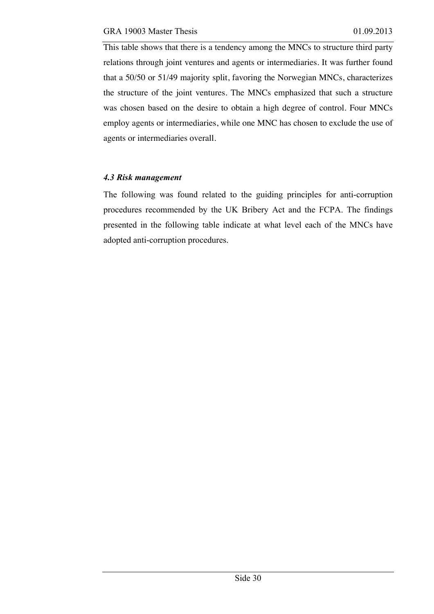This table shows that there is a tendency among the MNCs to structure third party relations through joint ventures and agents or intermediaries. It was further found that a 50/50 or 51/49 majority split, favoring the Norwegian MNCs, characterizes the structure of the joint ventures. The MNCs emphasized that such a structure was chosen based on the desire to obtain a high degree of control. Four MNCs employ agents or intermediaries, while one MNC has chosen to exclude the use of agents or intermediaries overall.

#### *4.3 Risk management*

The following was found related to the guiding principles for anti-corruption procedures recommended by the UK Bribery Act and the FCPA. The findings presented in the following table indicate at what level each of the MNCs have adopted anti-corruption procedures.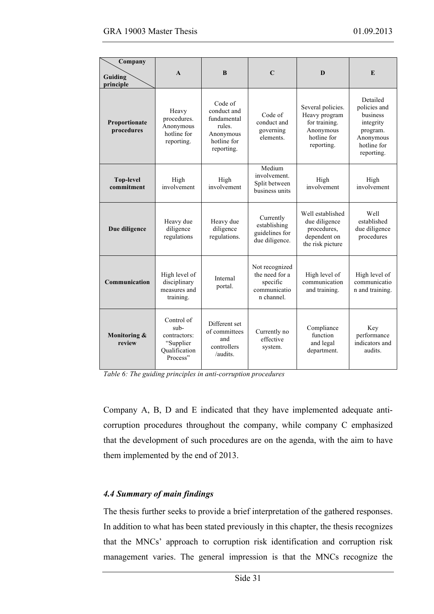| Company<br>Guiding<br>principle | $\mathbf{A}$                                                                   | $\bf{B}$                                                                                  | $\mathbf C$                                                                | D                                                                                             | E                                                                                                       |
|---------------------------------|--------------------------------------------------------------------------------|-------------------------------------------------------------------------------------------|----------------------------------------------------------------------------|-----------------------------------------------------------------------------------------------|---------------------------------------------------------------------------------------------------------|
| Proportionate<br>procedures     | Heavy<br>procedures.<br>Anonymous<br>hotline for<br>reporting.                 | Code of<br>conduct and<br>fundamental<br>rules.<br>Anonymous<br>hotline for<br>reporting. | Code of<br>conduct and<br>governing<br>elements.                           | Several policies.<br>Heavy program<br>for training.<br>Anonymous<br>hotline for<br>reporting. | Detailed<br>policies and<br>business<br>integrity<br>program.<br>Anonymous<br>hotline for<br>reporting. |
| <b>Top-level</b><br>commitment  | High<br>involvement                                                            | High<br>involvement                                                                       | Medium<br>involvement.<br>Split between<br>business units                  | High<br>involvement                                                                           | High<br>involvement                                                                                     |
| Due diligence                   | Heavy due<br>diligence<br>regulations                                          | Heavy due<br>diligence<br>regulations.                                                    | Currently<br>establishing<br>guidelines for<br>due diligence.              | Well established<br>due diligence<br>procedures,<br>dependent on<br>the risk picture          | Well<br>established<br>due diligence<br>procedures                                                      |
| Communication                   | High level of<br>disciplinary<br>measures and<br>training.                     | Internal<br>portal.                                                                       | Not recognized<br>the need for a<br>specific<br>communicatio<br>n channel. | High level of<br>communication<br>and training.                                               | High level of<br>communicatio<br>n and training.                                                        |
| Monitoring &<br>review          | Control of<br>$sub-$<br>contractors:<br>"Supplier<br>Qualification<br>Process" | Different set<br>of committees<br>and<br>controllers<br>/audits.                          | Currently no<br>effective<br>system.                                       | Compliance<br>function<br>and legal<br>department.                                            | Key<br>performance<br>indicators and<br>audits.                                                         |

*Table 6: The guiding principles in anti-corruption procedures*

Company A, B, D and E indicated that they have implemented adequate anticorruption procedures throughout the company, while company C emphasized that the development of such procedures are on the agenda, with the aim to have them implemented by the end of 2013.

### *4.4 Summary of main findings*

The thesis further seeks to provide a brief interpretation of the gathered responses. In addition to what has been stated previously in this chapter, the thesis recognizes that the MNCs' approach to corruption risk identification and corruption risk management varies. The general impression is that the MNCs recognize the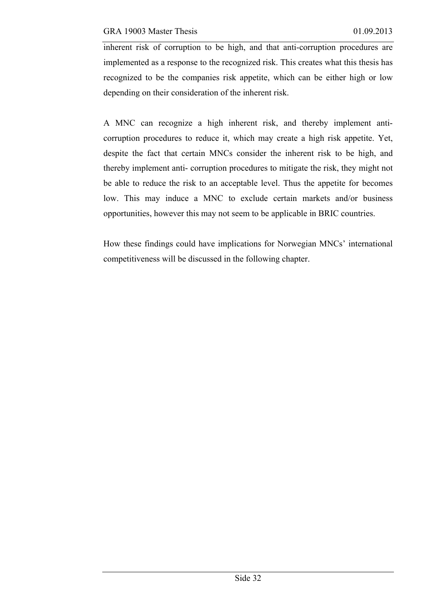inherent risk of corruption to be high, and that anti-corruption procedures are implemented as a response to the recognized risk. This creates what this thesis has recognized to be the companies risk appetite, which can be either high or low depending on their consideration of the inherent risk.

A MNC can recognize a high inherent risk, and thereby implement anticorruption procedures to reduce it, which may create a high risk appetite. Yet, despite the fact that certain MNCs consider the inherent risk to be high, and thereby implement anti- corruption procedures to mitigate the risk, they might not be able to reduce the risk to an acceptable level. Thus the appetite for becomes low. This may induce a MNC to exclude certain markets and/or business opportunities, however this may not seem to be applicable in BRIC countries.

How these findings could have implications for Norwegian MNCs' international competitiveness will be discussed in the following chapter.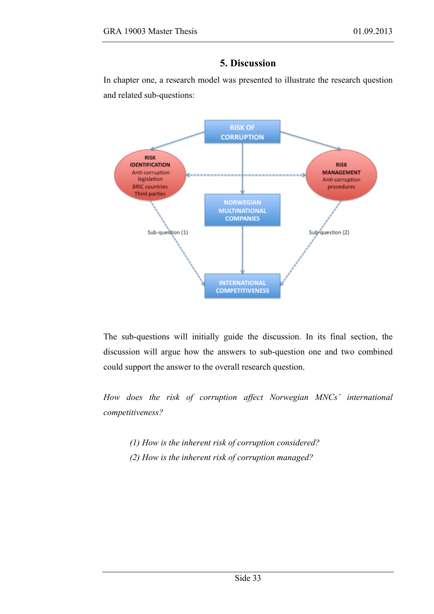### **5. Discussion**

In chapter one, a research model was presented to illustrate the research question and related sub-questions:



The sub-questions will initially guide the discussion. In its final section, the discussion will argue how the answers to sub-question one and two combined could support the answer to the overall research question.

*How does the risk of corruption affect Norwegian MNCs' international competitiveness?* 

*(1) How is the inherent risk of corruption considered? (2) How is the inherent risk of corruption managed?*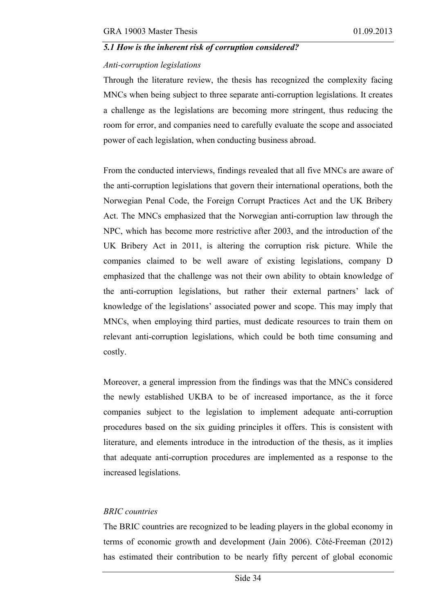### *5.1 How is the inherent risk of corruption considered?*

### *Anti-corruption legislations*

Through the literature review, the thesis has recognized the complexity facing MNCs when being subject to three separate anti-corruption legislations. It creates a challenge as the legislations are becoming more stringent, thus reducing the room for error, and companies need to carefully evaluate the scope and associated power of each legislation, when conducting business abroad.

From the conducted interviews, findings revealed that all five MNCs are aware of the anti-corruption legislations that govern their international operations, both the Norwegian Penal Code, the Foreign Corrupt Practices Act and the UK Bribery Act. The MNCs emphasized that the Norwegian anti-corruption law through the NPC, which has become more restrictive after 2003, and the introduction of the UK Bribery Act in 2011, is altering the corruption risk picture. While the companies claimed to be well aware of existing legislations, company D emphasized that the challenge was not their own ability to obtain knowledge of the anti-corruption legislations, but rather their external partners' lack of knowledge of the legislations' associated power and scope. This may imply that MNCs, when employing third parties, must dedicate resources to train them on relevant anti-corruption legislations, which could be both time consuming and costly.

Moreover, a general impression from the findings was that the MNCs considered the newly established UKBA to be of increased importance, as the it force companies subject to the legislation to implement adequate anti-corruption procedures based on the six guiding principles it offers. This is consistent with literature, and elements introduce in the introduction of the thesis, as it implies that adequate anti-corruption procedures are implemented as a response to the increased legislations.

### *BRIC countries*

The BRIC countries are recognized to be leading players in the global economy in terms of economic growth and development (Jain 2006). Côté-Freeman (2012) has estimated their contribution to be nearly fifty percent of global economic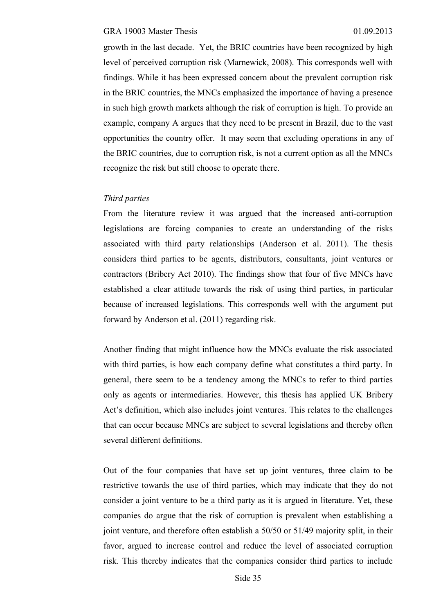growth in the last decade. Yet, the BRIC countries have been recognized by high level of perceived corruption risk (Marnewick, 2008). This corresponds well with findings. While it has been expressed concern about the prevalent corruption risk in the BRIC countries, the MNCs emphasized the importance of having a presence in such high growth markets although the risk of corruption is high. To provide an example, company A argues that they need to be present in Brazil, due to the vast opportunities the country offer. It may seem that excluding operations in any of the BRIC countries, due to corruption risk, is not a current option as all the MNCs recognize the risk but still choose to operate there.

### *Third parties*

From the literature review it was argued that the increased anti-corruption legislations are forcing companies to create an understanding of the risks associated with third party relationships (Anderson et al. 2011). The thesis considers third parties to be agents, distributors, consultants, joint ventures or contractors (Bribery Act 2010). The findings show that four of five MNCs have established a clear attitude towards the risk of using third parties, in particular because of increased legislations. This corresponds well with the argument put forward by Anderson et al. (2011) regarding risk.

Another finding that might influence how the MNCs evaluate the risk associated with third parties, is how each company define what constitutes a third party. In general, there seem to be a tendency among the MNCs to refer to third parties only as agents or intermediaries. However, this thesis has applied UK Bribery Act's definition, which also includes joint ventures. This relates to the challenges that can occur because MNCs are subject to several legislations and thereby often several different definitions.

Out of the four companies that have set up joint ventures, three claim to be restrictive towards the use of third parties, which may indicate that they do not consider a joint venture to be a third party as it is argued in literature. Yet, these companies do argue that the risk of corruption is prevalent when establishing a joint venture, and therefore often establish a 50/50 or 51/49 majority split, in their favor, argued to increase control and reduce the level of associated corruption risk. This thereby indicates that the companies consider third parties to include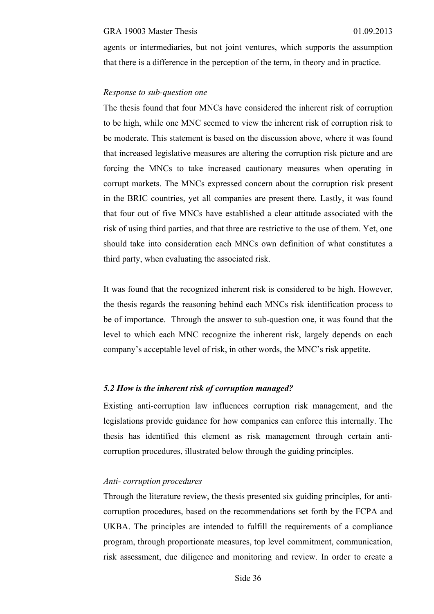agents or intermediaries, but not joint ventures, which supports the assumption that there is a difference in the perception of the term, in theory and in practice.

### *Response to sub-question one*

The thesis found that four MNCs have considered the inherent risk of corruption to be high, while one MNC seemed to view the inherent risk of corruption risk to be moderate. This statement is based on the discussion above, where it was found that increased legislative measures are altering the corruption risk picture and are forcing the MNCs to take increased cautionary measures when operating in corrupt markets. The MNCs expressed concern about the corruption risk present in the BRIC countries, yet all companies are present there. Lastly, it was found that four out of five MNCs have established a clear attitude associated with the risk of using third parties, and that three are restrictive to the use of them. Yet, one should take into consideration each MNCs own definition of what constitutes a third party, when evaluating the associated risk.

It was found that the recognized inherent risk is considered to be high. However, the thesis regards the reasoning behind each MNCs risk identification process to be of importance. Through the answer to sub-question one, it was found that the level to which each MNC recognize the inherent risk, largely depends on each company's acceptable level of risk, in other words, the MNC's risk appetite.

### *5.2 How is the inherent risk of corruption managed?*

Existing anti-corruption law influences corruption risk management, and the legislations provide guidance for how companies can enforce this internally. The thesis has identified this element as risk management through certain anticorruption procedures, illustrated below through the guiding principles.

### *Anti- corruption procedures*

Through the literature review, the thesis presented six guiding principles, for anticorruption procedures, based on the recommendations set forth by the FCPA and UKBA. The principles are intended to fulfill the requirements of a compliance program, through proportionate measures, top level commitment, communication, risk assessment, due diligence and monitoring and review. In order to create a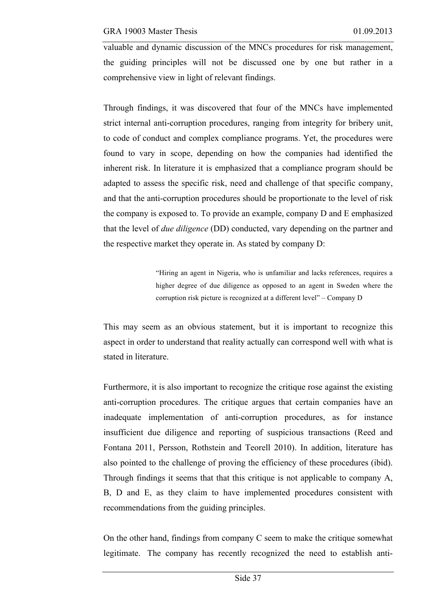valuable and dynamic discussion of the MNCs procedures for risk management, the guiding principles will not be discussed one by one but rather in a comprehensive view in light of relevant findings.

Through findings, it was discovered that four of the MNCs have implemented strict internal anti-corruption procedures, ranging from integrity for bribery unit, to code of conduct and complex compliance programs. Yet, the procedures were found to vary in scope, depending on how the companies had identified the inherent risk. In literature it is emphasized that a compliance program should be adapted to assess the specific risk, need and challenge of that specific company, and that the anti-corruption procedures should be proportionate to the level of risk the company is exposed to. To provide an example, company D and E emphasized that the level of *due diligence* (DD) conducted, vary depending on the partner and the respective market they operate in. As stated by company D:

> "Hiring an agent in Nigeria, who is unfamiliar and lacks references, requires a higher degree of due diligence as opposed to an agent in Sweden where the corruption risk picture is recognized at a different level" – Company D

This may seem as an obvious statement, but it is important to recognize this aspect in order to understand that reality actually can correspond well with what is stated in literature.

Furthermore, it is also important to recognize the critique rose against the existing anti-corruption procedures. The critique argues that certain companies have an inadequate implementation of anti-corruption procedures, as for instance insufficient due diligence and reporting of suspicious transactions (Reed and Fontana 2011, Persson, Rothstein and Teorell 2010). In addition, literature has also pointed to the challenge of proving the efficiency of these procedures (ibid). Through findings it seems that that this critique is not applicable to company A, B, D and E, as they claim to have implemented procedures consistent with recommendations from the guiding principles.

On the other hand, findings from company C seem to make the critique somewhat legitimate. The company has recently recognized the need to establish anti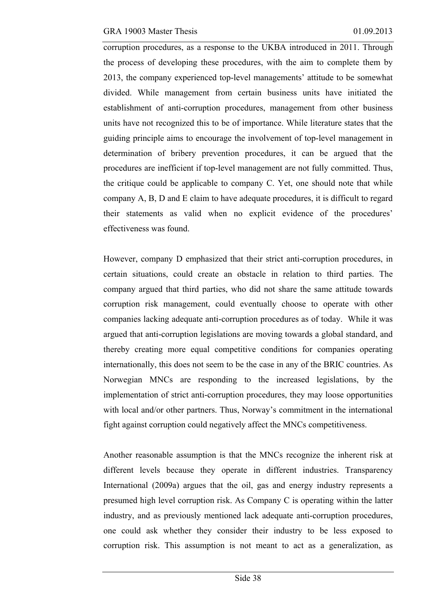corruption procedures, as a response to the UKBA introduced in 2011. Through the process of developing these procedures, with the aim to complete them by 2013, the company experienced top-level managements' attitude to be somewhat divided. While management from certain business units have initiated the establishment of anti-corruption procedures, management from other business units have not recognized this to be of importance. While literature states that the guiding principle aims to encourage the involvement of top-level management in determination of bribery prevention procedures, it can be argued that the procedures are inefficient if top-level management are not fully committed. Thus, the critique could be applicable to company C. Yet, one should note that while company A, B, D and E claim to have adequate procedures, it is difficult to regard their statements as valid when no explicit evidence of the procedures' effectiveness was found.

However, company D emphasized that their strict anti-corruption procedures, in certain situations, could create an obstacle in relation to third parties. The company argued that third parties, who did not share the same attitude towards corruption risk management, could eventually choose to operate with other companies lacking adequate anti-corruption procedures as of today. While it was argued that anti-corruption legislations are moving towards a global standard, and thereby creating more equal competitive conditions for companies operating internationally, this does not seem to be the case in any of the BRIC countries. As Norwegian MNCs are responding to the increased legislations, by the implementation of strict anti-corruption procedures, they may loose opportunities with local and/or other partners. Thus, Norway's commitment in the international fight against corruption could negatively affect the MNCs competitiveness.

Another reasonable assumption is that the MNCs recognize the inherent risk at different levels because they operate in different industries. Transparency International (2009a) argues that the oil, gas and energy industry represents a presumed high level corruption risk. As Company C is operating within the latter industry, and as previously mentioned lack adequate anti-corruption procedures, one could ask whether they consider their industry to be less exposed to corruption risk. This assumption is not meant to act as a generalization, as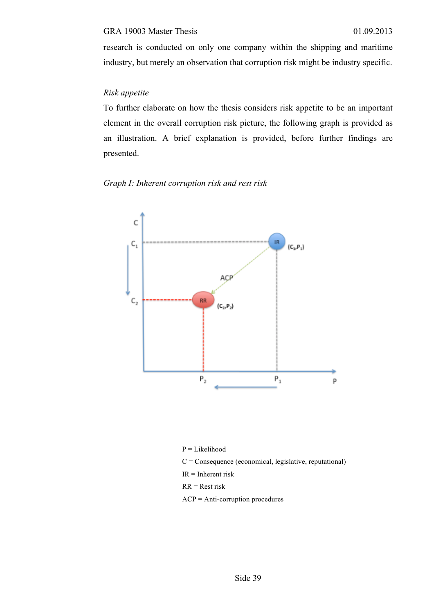research is conducted on only one company within the shipping and maritime industry, but merely an observation that corruption risk might be industry specific.

### *Risk appetite*

To further elaborate on how the thesis considers risk appetite to be an important element in the overall corruption risk picture, the following graph is provided as an illustration. A brief explanation is provided, before further findings are presented.

### *Graph I: Inherent corruption risk and rest risk*



P = Likelihood  $C =$  Consequence (economical, legislative, reputational) IR = Inherent risk RR = Rest risk ACP = Anti-corruption procedures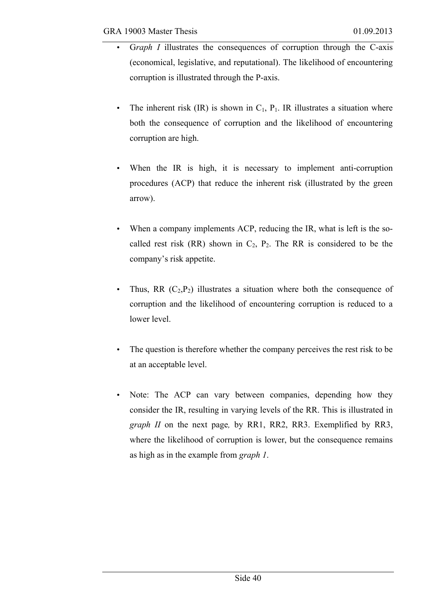- G*raph I* illustrates the consequences of corruption through the C-axis (economical, legislative, and reputational). The likelihood of encountering corruption is illustrated through the P-axis.
	- The inherent risk  $(IR)$  is shown in  $C_1$ ,  $P_1$ . IR illustrates a situation where both the consequence of corruption and the likelihood of encountering corruption are high.
	- When the IR is high, it is necessary to implement anti-corruption procedures (ACP) that reduce the inherent risk (illustrated by the green arrow).
	- When a company implements ACP, reducing the IR, what is left is the socalled rest risk (RR) shown in  $C_2$ ,  $P_2$ . The RR is considered to be the company's risk appetite.
	- Thus, RR  $(C_2, P_2)$  illustrates a situation where both the consequence of corruption and the likelihood of encountering corruption is reduced to a lower level.
	- The question is therefore whether the company perceives the rest risk to be at an acceptable level.
	- Note: The ACP can vary between companies, depending how they consider the IR, resulting in varying levels of the RR. This is illustrated in *graph II* on the next page*,* by RR1, RR2, RR3. Exemplified by RR3, where the likelihood of corruption is lower, but the consequence remains as high as in the example from *graph 1*.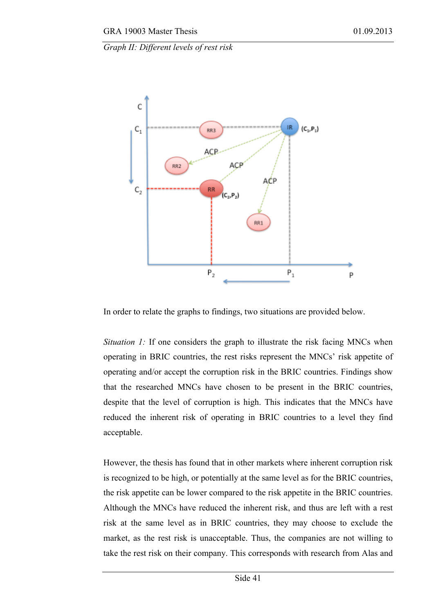*Graph II: Different levels of rest risk*



In order to relate the graphs to findings, two situations are provided below.

*Situation 1:* If one considers the graph to illustrate the risk facing MNCs when operating in BRIC countries, the rest risks represent the MNCs' risk appetite of operating and/or accept the corruption risk in the BRIC countries. Findings show that the researched MNCs have chosen to be present in the BRIC countries, despite that the level of corruption is high. This indicates that the MNCs have reduced the inherent risk of operating in BRIC countries to a level they find acceptable.

However, the thesis has found that in other markets where inherent corruption risk is recognized to be high, or potentially at the same level as for the BRIC countries, the risk appetite can be lower compared to the risk appetite in the BRIC countries. Although the MNCs have reduced the inherent risk, and thus are left with a rest risk at the same level as in BRIC countries, they may choose to exclude the market, as the rest risk is unacceptable. Thus, the companies are not willing to take the rest risk on their company. This corresponds with research from Alas and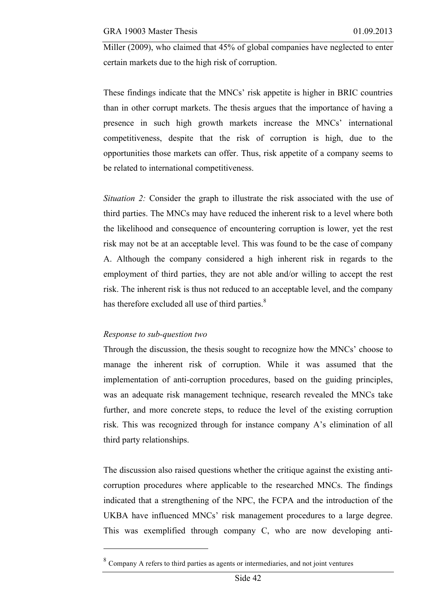Miller (2009), who claimed that 45% of global companies have neglected to enter certain markets due to the high risk of corruption.

These findings indicate that the MNCs' risk appetite is higher in BRIC countries than in other corrupt markets. The thesis argues that the importance of having a presence in such high growth markets increase the MNCs' international competitiveness, despite that the risk of corruption is high, due to the opportunities those markets can offer. Thus, risk appetite of a company seems to be related to international competitiveness.

*Situation 2:* Consider the graph to illustrate the risk associated with the use of third parties. The MNCs may have reduced the inherent risk to a level where both the likelihood and consequence of encountering corruption is lower, yet the rest risk may not be at an acceptable level. This was found to be the case of company A. Although the company considered a high inherent risk in regards to the employment of third parties, they are not able and/or willing to accept the rest risk. The inherent risk is thus not reduced to an acceptable level, and the company has therefore excluded all use of third parties.<sup>8</sup>

### *Response to sub-question two*

 $\overline{a}$ 

Through the discussion, the thesis sought to recognize how the MNCs' choose to manage the inherent risk of corruption. While it was assumed that the implementation of anti-corruption procedures, based on the guiding principles, was an adequate risk management technique, research revealed the MNCs take further, and more concrete steps, to reduce the level of the existing corruption risk. This was recognized through for instance company A's elimination of all third party relationships.

The discussion also raised questions whether the critique against the existing anticorruption procedures where applicable to the researched MNCs. The findings indicated that a strengthening of the NPC, the FCPA and the introduction of the UKBA have influenced MNCs' risk management procedures to a large degree. This was exemplified through company C, who are now developing anti-

 $8 \text{ Company A refers to third parties as agents or intermediaries, and not joint ventures}$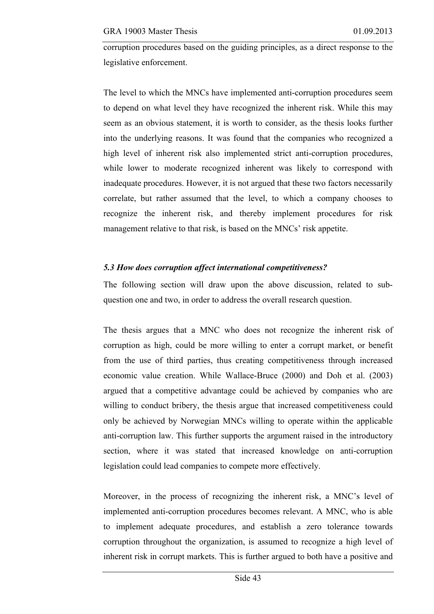corruption procedures based on the guiding principles, as a direct response to the legislative enforcement.

The level to which the MNCs have implemented anti-corruption procedures seem to depend on what level they have recognized the inherent risk. While this may seem as an obvious statement, it is worth to consider, as the thesis looks further into the underlying reasons. It was found that the companies who recognized a high level of inherent risk also implemented strict anti-corruption procedures, while lower to moderate recognized inherent was likely to correspond with inadequate procedures. However, it is not argued that these two factors necessarily correlate, but rather assumed that the level, to which a company chooses to recognize the inherent risk, and thereby implement procedures for risk management relative to that risk, is based on the MNCs' risk appetite.

### *5.3 How does corruption affect international competitiveness?*

The following section will draw upon the above discussion, related to subquestion one and two, in order to address the overall research question.

The thesis argues that a MNC who does not recognize the inherent risk of corruption as high, could be more willing to enter a corrupt market, or benefit from the use of third parties, thus creating competitiveness through increased economic value creation. While Wallace-Bruce (2000) and Doh et al. (2003) argued that a competitive advantage could be achieved by companies who are willing to conduct bribery, the thesis argue that increased competitiveness could only be achieved by Norwegian MNCs willing to operate within the applicable anti-corruption law. This further supports the argument raised in the introductory section, where it was stated that increased knowledge on anti-corruption legislation could lead companies to compete more effectively.

Moreover, in the process of recognizing the inherent risk, a MNC's level of implemented anti-corruption procedures becomes relevant. A MNC, who is able to implement adequate procedures, and establish a zero tolerance towards corruption throughout the organization, is assumed to recognize a high level of inherent risk in corrupt markets. This is further argued to both have a positive and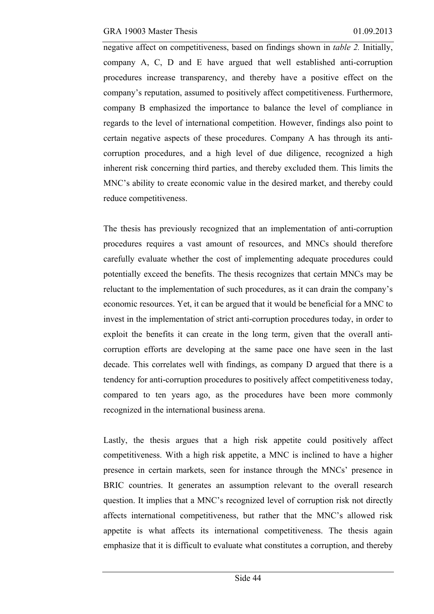negative affect on competitiveness, based on findings shown in *table 2.* Initially, company A, C, D and E have argued that well established anti-corruption procedures increase transparency, and thereby have a positive effect on the company's reputation, assumed to positively affect competitiveness. Furthermore, company B emphasized the importance to balance the level of compliance in regards to the level of international competition. However, findings also point to certain negative aspects of these procedures. Company A has through its anticorruption procedures, and a high level of due diligence, recognized a high inherent risk concerning third parties, and thereby excluded them. This limits the MNC's ability to create economic value in the desired market, and thereby could reduce competitiveness.

The thesis has previously recognized that an implementation of anti-corruption procedures requires a vast amount of resources, and MNCs should therefore carefully evaluate whether the cost of implementing adequate procedures could potentially exceed the benefits. The thesis recognizes that certain MNCs may be reluctant to the implementation of such procedures, as it can drain the company's economic resources. Yet, it can be argued that it would be beneficial for a MNC to invest in the implementation of strict anti-corruption procedures today, in order to exploit the benefits it can create in the long term, given that the overall anticorruption efforts are developing at the same pace one have seen in the last decade. This correlates well with findings, as company D argued that there is a tendency for anti-corruption procedures to positively affect competitiveness today, compared to ten years ago, as the procedures have been more commonly recognized in the international business arena.

Lastly, the thesis argues that a high risk appetite could positively affect competitiveness. With a high risk appetite, a MNC is inclined to have a higher presence in certain markets, seen for instance through the MNCs' presence in BRIC countries. It generates an assumption relevant to the overall research question. It implies that a MNC's recognized level of corruption risk not directly affects international competitiveness, but rather that the MNC's allowed risk appetite is what affects its international competitiveness. The thesis again emphasize that it is difficult to evaluate what constitutes a corruption, and thereby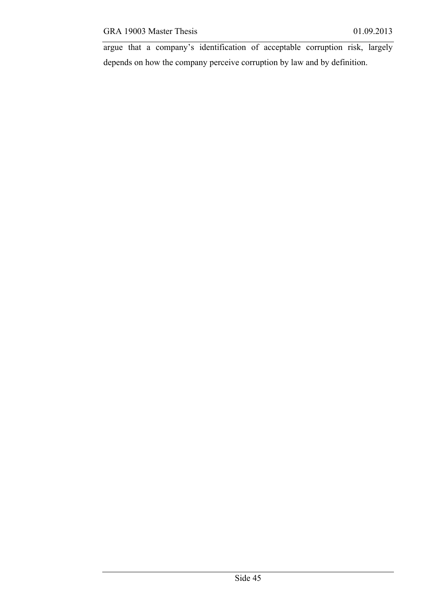argue that a company's identification of acceptable corruption risk, largely depends on how the company perceive corruption by law and by definition.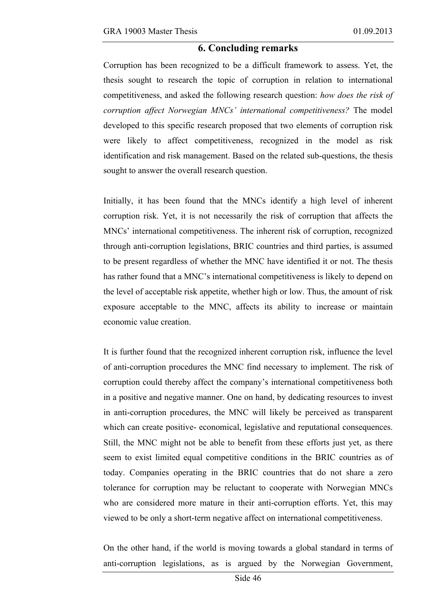### **6. Concluding remarks**

Corruption has been recognized to be a difficult framework to assess. Yet, the thesis sought to research the topic of corruption in relation to international competitiveness, and asked the following research question: *how does the risk of corruption affect Norwegian MNCs' international competitiveness?* The model developed to this specific research proposed that two elements of corruption risk were likely to affect competitiveness, recognized in the model as risk identification and risk management. Based on the related sub-questions, the thesis sought to answer the overall research question.

Initially, it has been found that the MNCs identify a high level of inherent corruption risk. Yet, it is not necessarily the risk of corruption that affects the MNCs' international competitiveness. The inherent risk of corruption, recognized through anti-corruption legislations, BRIC countries and third parties, is assumed to be present regardless of whether the MNC have identified it or not. The thesis has rather found that a MNC's international competitiveness is likely to depend on the level of acceptable risk appetite, whether high or low. Thus, the amount of risk exposure acceptable to the MNC, affects its ability to increase or maintain economic value creation.

It is further found that the recognized inherent corruption risk, influence the level of anti-corruption procedures the MNC find necessary to implement. The risk of corruption could thereby affect the company's international competitiveness both in a positive and negative manner. One on hand, by dedicating resources to invest in anti-corruption procedures, the MNC will likely be perceived as transparent which can create positive- economical, legislative and reputational consequences. Still, the MNC might not be able to benefit from these efforts just yet, as there seem to exist limited equal competitive conditions in the BRIC countries as of today. Companies operating in the BRIC countries that do not share a zero tolerance for corruption may be reluctant to cooperate with Norwegian MNCs who are considered more mature in their anti-corruption efforts. Yet, this may viewed to be only a short-term negative affect on international competitiveness.

On the other hand, if the world is moving towards a global standard in terms of anti-corruption legislations, as is argued by the Norwegian Government,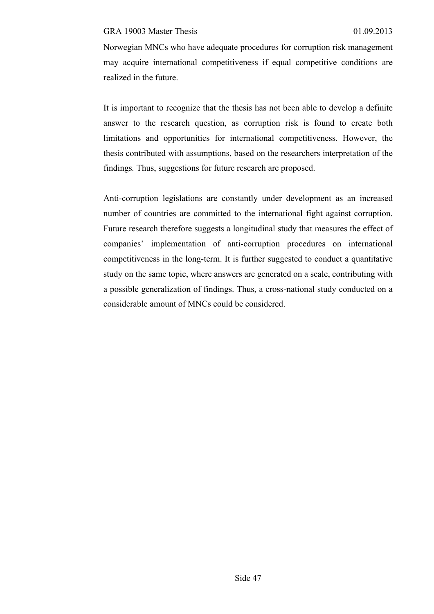Norwegian MNCs who have adequate procedures for corruption risk management may acquire international competitiveness if equal competitive conditions are realized in the future.

It is important to recognize that the thesis has not been able to develop a definite answer to the research question, as corruption risk is found to create both limitations and opportunities for international competitiveness. However, the thesis contributed with assumptions, based on the researchers interpretation of the findings*.* Thus, suggestions for future research are proposed.

Anti-corruption legislations are constantly under development as an increased number of countries are committed to the international fight against corruption. Future research therefore suggests a longitudinal study that measures the effect of companies' implementation of anti-corruption procedures on international competitiveness in the long-term. It is further suggested to conduct a quantitative study on the same topic, where answers are generated on a scale, contributing with a possible generalization of findings. Thus, a cross-national study conducted on a considerable amount of MNCs could be considered.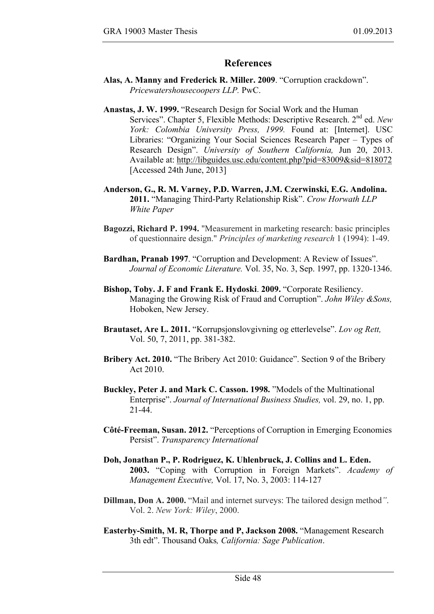### **References**

- **Alas, A. Manny and Frederick R. Miller. 2009**. "Corruption crackdown". *Pricewatershousecoopers LLP.* PwC.
- **Anastas, J. W. 1999.** "Research Design for Social Work and the Human Services". Chapter 5, Flexible Methods: Descriptive Research. 2nd ed. *New York: Colombia University Press, 1999.* Found at: [Internet]. USC Libraries: "Organizing Your Social Sciences Research Paper – Types of Research Design". *University of Southern California,* Jun 20, 2013. Available at: http://libguides.usc.edu/content.php?pid=83009&sid=818072 [Accessed 24th June, 2013]
- **Anderson, G., R. M. Varney, P.D. Warren, J.M. Czerwinski, E.G. Andolina. 2011.** "Managing Third-Party Relationship Risk". *Crow Horwath LLP White Paper*
- **Bagozzi, Richard P. 1994.** "Measurement in marketing research: basic principles of questionnaire design." *Principles of marketing research* 1 (1994): 1-49.
- **Bardhan, Pranab 1997**. "Corruption and Development: A Review of Issues". *Journal of Economic Literature.* Vol. 35, No. 3, Sep. 1997, pp. 1320-1346.
- **Bishop, Toby. J. F and Frank E. Hydoski**. **2009.** "Corporate Resiliency. Managing the Growing Risk of Fraud and Corruption". *John Wiley &Sons,*  Hoboken, New Jersey.
- **Brautaset, Are L. 2011.** "Korrupsjonslovgivning og etterlevelse". *Lov og Rett,*  Vol. 50, 7, 2011, pp. 381-382.
- **Bribery Act. 2010.** "The Bribery Act 2010: Guidance". Section 9 of the Bribery Act 2010.
- **Buckley, Peter J. and Mark C. Casson. 1998.** "Models of the Multinational Enterprise". *Journal of International Business Studies,* vol. 29, no. 1, pp. 21-44.
- **Côté-Freeman, Susan. 2012.** "Perceptions of Corruption in Emerging Economies Persist". *Transparency International*
- **Doh, Jonathan P., P. Rodriguez, K. Uhlenbruck, J. Collins and L. Eden. 2003.** "Coping with Corruption in Foreign Markets". *Academy of Management Executive,* Vol. 17, No. 3, 2003: 114-127
- **Dillman, Don A. 2000.** "Mail and internet surveys: The tailored design method*"*. Vol. 2. *New York: Wiley*, 2000.
- **Easterby-Smith, M. R, Thorpe and P, Jackson 2008.** "Management Research 3th edt". Thousand Oaks*, California: Sage Publication*.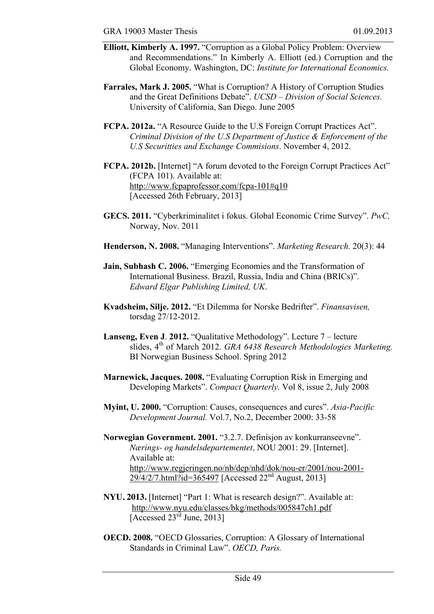- **Elliott, Kimberly A. 1997.** "Corruption as a Global Policy Problem: Overview and Recommendations." In Kimberly A. Elliott (ed.) Corruption and the Global Economy. Washington, DC: *Institute for International Economics.*
- **Farrales, Mark J. 2005.** "What is Corruption? A History of Corruption Studies and the Great Definitions Debate". *UCSD – Division of Social Sciences.* University of California, San Diego. June 2005
- **FCPA. 2012a.** "A Resource Guide to the U.S Foreign Corrupt Practices Act". *Criminal Division of the U.S Department of Justice & Enforcement of the U.S Securitties and Exchange Commisions*. November 4, 2012.
- **FCPA. 2012b.** [Internet] "A forum devoted to the Foreign Corrupt Practices Act" (FCPA 101). Available at: http://www.fcpaprofessor.com/fcpa-101#q10 [Accessed 26th February, 2013]
- **GECS. 2011.** "Cyberkriminalitet i fokus. Global Economic Crime Survey". *PwC,*  Norway, Nov. 2011
- **Henderson, N. 2008.** "Managing Interventions". *Marketing Research.* 20(3): 44
- **Jain, Subhash C. 2006.** "Emerging Economies and the Transformation of International Business. Brazil, Russia, India and China (BRICs)". *Edward Elgar Publishing Limited, UK*.
- **Kvadsheim, Silje. 2012.** "Et Dilemma for Norske Bedrifter". *Finansavisen,*  torsdag 27/12-2012.
- **Lanseng, Even J**. **2012.** "Qualitative Methodology". Lecture 7 lecture slides, 4<sup>th</sup> of March 2012. *GRA 6438 Research Methodologies Marketing.* BI Norwegian Business School. Spring 2012
- **Marnewick, Jacques. 2008.** "Evaluating Corruption Risk in Emerging and Developing Markets". *Compact Quarterly.* Vol 8, issue 2, July 2008
- **Myint, U. 2000.** "Corruption: Causes, consequences and cures". *Asia-Pacific Development Journal.* Vol.7, No.2, December 2000: 33-58
- **Norwegian Government. 2001.** "3.2.7. Definisjon av konkurranseevne". *Nærings- og handelsdepartementet,* NOU 2001: 29. [Internet]. Available at: http://www.regjeringen.no/nb/dep/nhd/dok/nou-er/2001/nou-2001-  $29/4/2/7$ .html?id=365497 [Accessed 22<sup>nd</sup> August, 2013]
- **NYU. 2013.** [Internet] "Part 1: What is research design?". Available at: http://www.nyu.edu/classes/bkg/methods/005847ch1.pdf [Accessed  $23<sup>rd</sup>$  June, 2013]
- **OECD. 2008.** "OECD Glossaries, Corruption: A Glossary of International Standards in Criminal Law". *OECD, Paris.*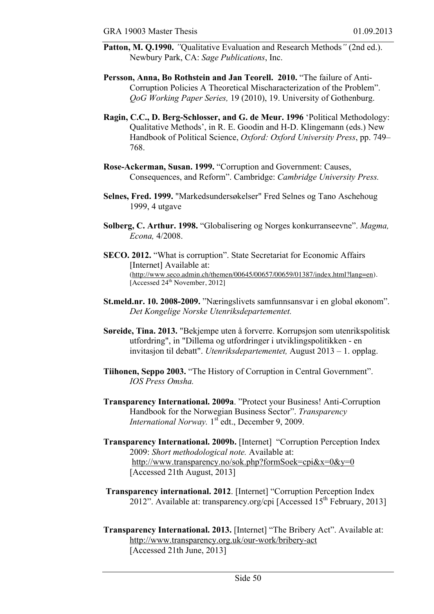- **Patton, M. Q.1990.** *"*Qualitative Evaluation and Research Methods*"* (2nd ed.). Newbury Park, CA: *Sage Publications*, Inc.
- **Persson, Anna, Bo Rothstein and Jan Teorell. 2010.** "The failure of Anti-Corruption Policies A Theoretical Mischaracterization of the Problem". *QoG Working Paper Series,* 19 (2010), 19. University of Gothenburg.
- **Ragin, C.C., D. Berg-Schlosser, and G. de Meur. 1996** 'Political Methodology: Qualitative Methods', in R. E. Goodin and H-D. Klingemann (eds.) New Handbook of Political Science, *Oxford: Oxford University Press*, pp. 749– 768.
- **Rose-Ackerman, Susan. 1999.** "Corruption and Government: Causes, Consequences, and Reform". Cambridge: *Cambridge University Press.*
- **Selnes, Fred. 1999.** "Markedsundersøkelser" Fred Selnes og Tano Aschehoug 1999, 4 utgave
- **Solberg, C. Arthur. 1998.** "Globalisering og Norges konkurranseevne". *Magma, Econa,* 4/2008.
- **SECO. 2012.** "What is corruption". State Secretariat for Economic Affairs [Internet] Available at: (http://www.seco.admin.ch/themen/00645/00657/00659/01387/index.html?lang=en). [Accessed 24<sup>th</sup> November, 2012]
- **St.meld.nr. 10. 2008-2009.** "Næringslivets samfunnsansvar i en global økonom". *Det Kongelige Norske Utenriksdepartementet.*
- **Søreide, Tina. 2013.** "Bekjempe uten å forverre. Korrupsjon som utenrikspolitisk utfordring", in "Dillema og utfordringer i utviklingspolitikken - en invitasjon til debatt". *Utenriksdepartementet,* August 2013 – 1. opplag.
- **Tiihonen, Seppo 2003.** "The History of Corruption in Central Government". *IOS Press Omsha.*
- **Transparency International. 2009a**. "Protect your Business! Anti-Corruption Handbook for the Norwegian Business Sector". *Transparency International Norway.* 1<sup>st</sup> edt., December 9, 2009.
- **Transparency International. 2009b.** [Internet] "Corruption Perception Index 2009: *Short methodological note.* Available at: http://www.transparency.no/sok.php?formSoek=cpi&x=0&y=0 [Accessed 21th August, 2013]
- **Transparency international. 2012**. [Internet] "Corruption Perception Index  $2012$ ". Available at: transparency.org/cpi [Accessed  $15<sup>th</sup>$  February, 2013]
- **Transparency International. 2013.** [Internet] "The Bribery Act". Available at: http://www.transparency.org.uk/our-work/bribery-act [Accessed 21th June, 2013]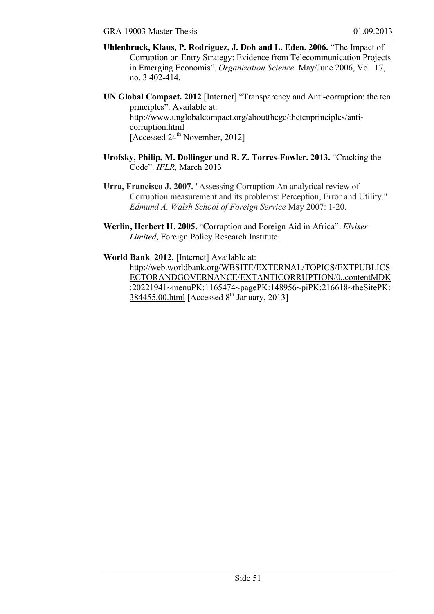- **Uhlenbruck, Klaus, P. Rodriguez, J. Doh and L. Eden. 2006.** "The Impact of Corruption on Entry Strategy: Evidence from Telecommunication Projects in Emerging Economis". *Organization Science.* May/June 2006, Vol. 17, no. 3 402-414.
- **UN Global Compact. 2012** [Internet] "Transparency and Anti-corruption: the ten principles". Available at: http://www.unglobalcompact.org/aboutthegc/thetenprinciples/anticorruption.html [Accessed 24<sup>th</sup> November, 2012]
- **Urofsky, Philip, M. Dollinger and R. Z. Torres-Fowler. 2013.** "Cracking the Code". *IFLR,* March 2013
- **Urra, Francisco J. 2007.** "Assessing Corruption An analytical review of Corruption measurement and its problems: Perception, Error and Utility." *Edmund A. Walsh School of Foreign Service* May 2007: 1-20.
- **Werlin, Herbert H. 2005.** "Corruption and Foreign Aid in Africa". *Elviser Limited,* Foreign Policy Research Institute.

**World Bank**. **2012.** [Internet] Available at:

http://web.worldbank.org/WBSITE/EXTERNAL/TOPICS/EXTPUBLICS ECTORANDGOVERNANCE/EXTANTICORRUPTION/0,,contentMDK :20221941~menuPK:1165474~pagePK:148956~piPK:216618~theSitePK:  $384455,00.html$  [Accessed 8<sup>th</sup> January, 2013]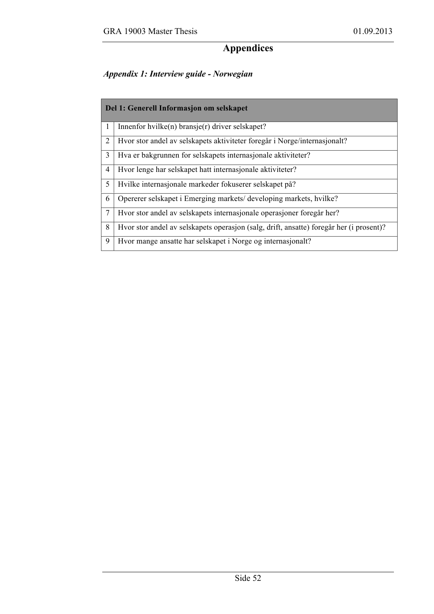### **Appendices**

### *Appendix 1: Interview guide - Norwegian*

| Del 1: Generell Informasjon om selskapet |                                                                                         |  |
|------------------------------------------|-----------------------------------------------------------------------------------------|--|
| $\mathbf{1}$                             | Innenfor hvilke(n) bransje(r) driver selskapet?                                         |  |
| 2                                        | Hvor stor andel av selskapets aktiviteter foregår i Norge/internasjonalt?               |  |
| 3                                        | Hva er bakgrunnen for selskapets internasjonale aktiviteter?                            |  |
| 4                                        | Hvor lenge har selskapet hatt internasjonale aktiviteter?                               |  |
| 5                                        | Hvilke internasjonale markeder fokuserer selskapet på?                                  |  |
| 6                                        | Opererer selskapet i Emerging markets/developing markets, hvilke?                       |  |
| $\tau$                                   | Hvor stor andel av selskapets internasjonale operasjoner foregår her?                   |  |
| 8                                        | Hvor stor andel av selskapets operasjon (salg, drift, ansatte) foregår her (i prosent)? |  |
| 9                                        | Hvor mange ansatte har selskapet i Norge og internasjonalt?                             |  |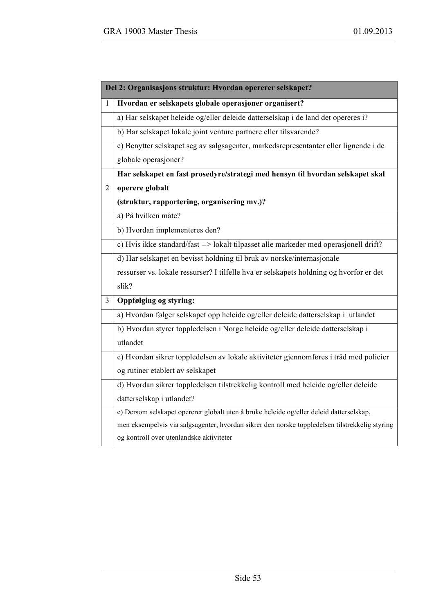|                | Del 2: Organisasjons struktur: Hvordan opererer selskapet?                                     |
|----------------|------------------------------------------------------------------------------------------------|
| $\mathbf{1}$   | Hvordan er selskapets globale operasjoner organisert?                                          |
|                | a) Har selskapet heleide og/eller deleide datterselskap i de land det opereres i?              |
|                | b) Har selskapet lokale joint venture partnere eller tilsvarende?                              |
|                | c) Benytter selskapet seg av salgsagenter, markedsrepresentanter eller lignende i de           |
|                | globale operasjoner?                                                                           |
|                | Har selskapet en fast prosedyre/strategi med hensyn til hvordan selskapet skal                 |
| $\overline{2}$ | operere globalt                                                                                |
|                | (struktur, rapportering, organisering mv.)?                                                    |
|                | a) På hvilken måte?                                                                            |
|                | b) Hvordan implementeres den?                                                                  |
|                | c) Hvis ikke standard/fast --> lokalt tilpasset alle markeder med operasjonell drift?          |
|                | d) Har selskapet en bevisst holdning til bruk av norske/internasjonale                         |
|                | ressurser vs. lokale ressurser? I tilfelle hva er selskapets holdning og hvorfor er det        |
|                | slik?                                                                                          |
| 3              | Oppfølging og styring:                                                                         |
|                | a) Hvordan følger selskapet opp heleide og/eller deleide datterselskap i utlandet              |
|                | b) Hvordan styrer toppledelsen i Norge heleide og/eller deleide datterselskap i                |
|                | utlandet                                                                                       |
|                | c) Hvordan sikrer toppledelsen av lokale aktiviteter gjennomføres i tråd med policier          |
|                | og rutiner etablert av selskapet                                                               |
|                | d) Hvordan sikrer toppledelsen tilstrekkelig kontroll med heleide og/eller deleide             |
|                | datterselskap i utlandet?                                                                      |
|                | e) Dersom selskapet opererer globalt uten å bruke heleide og/eller deleid datterselskap,       |
|                | men eksempelvis via salgsagenter, hvordan sikrer den norske toppledelsen tilstrekkelig styring |
|                | og kontroll over utenlandske aktiviteter                                                       |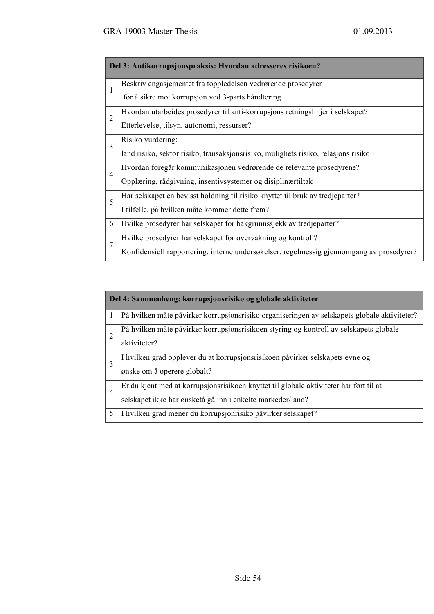| Del 3: Antikorrupsjonspraksis: Hvordan adresseres risikoen? |                                                                                           |  |
|-------------------------------------------------------------|-------------------------------------------------------------------------------------------|--|
| $\mathbf{1}$                                                | Beskriv engasjementet fra toppledelsen vedrørende prosedyrer                              |  |
|                                                             | for å sikre mot korrupsjon ved 3-parts håndtering                                         |  |
| $\overline{2}$                                              | Hvordan utarbeides prosedyrer til anti-korrupsjons retningslinjer i selskapet?            |  |
|                                                             | Etterlevelse, tilsyn, autonomi, ressurser?                                                |  |
| $\overline{3}$                                              | Risiko vurdering:                                                                         |  |
|                                                             | land risiko, sektor risiko, transaksjonsrisiko, mulighets risiko, relasjons risiko        |  |
| $\overline{4}$                                              | Hvordan foregår kommunikasjonen vedrørende de relevante prosedyrene?                      |  |
|                                                             | Opplæring, rådgivning, insentivsystemer og disiplinærtiltak                               |  |
| 5                                                           | Har selskapet en bevisst holdning til risiko knyttet til bruk av tredjeparter?            |  |
|                                                             | I tilfelle, på hvilken måte kommer dette frem?                                            |  |
| 6                                                           | Hvilke prosedyrer har selskapet for bakgrunnssjekk av tredjeparter?                       |  |
| $\overline{7}$                                              | Hvilke prosedyrer har selskapet for overvåkning og kontroll?                              |  |
|                                                             | Konfidensiell rapportering, interne undersøkelser, regelmessig gjennomgang av prosedyrer? |  |

| Del 4: Sammenheng: korrupsjonsrisiko og globale aktiviteter |                                                                                                                                                      |  |
|-------------------------------------------------------------|------------------------------------------------------------------------------------------------------------------------------------------------------|--|
| 1                                                           | På hvilken måte påvirker korrupsjonsrisiko organiseringen av selskapets globale aktiviteter?                                                         |  |
| $\overline{2}$                                              | På hvilken måte påvirker korrupsjonsrisikoen styring og kontroll av selskapets globale<br>aktiviteter?                                               |  |
| 3                                                           | I hvilken grad opplever du at korrupsjonsrisikoen påvirker selskapets evne og<br>ønske om å operere globalt?                                         |  |
| $\overline{4}$                                              | Er du kjent med at korrupsjonsrisikoen knyttet til globale aktiviteter har ført til at<br>selskapet ikke har ønsketå gå inn i enkelte markeder/land? |  |
| 5                                                           | I hvilken grad mener du korrupsjonrisiko påvirker selskapet?                                                                                         |  |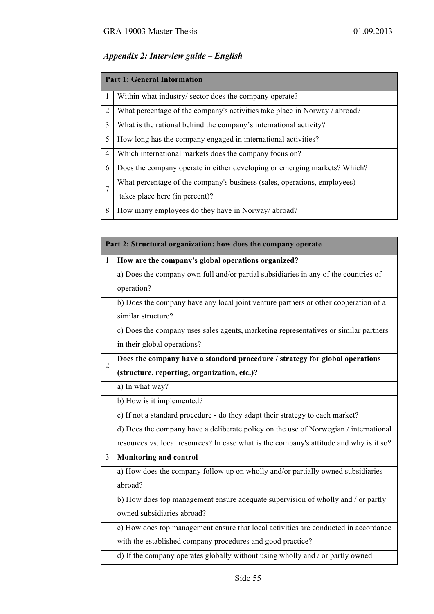### *Appendix 2: Interview guide – English*

| <b>Part 1: General Information</b> |                                                                                                            |  |
|------------------------------------|------------------------------------------------------------------------------------------------------------|--|
|                                    | Within what industry/sector does the company operate?                                                      |  |
| 2                                  | What percentage of the company's activities take place in Norway / abroad?                                 |  |
| 3                                  | What is the rational behind the company's international activity?                                          |  |
| 5                                  | How long has the company engaged in international activities?                                              |  |
| 4                                  | Which international markets does the company focus on?                                                     |  |
| 6                                  | Does the company operate in either developing or emerging markets? Which?                                  |  |
| 7                                  | What percentage of the company's business (sales, operations, employees)<br>takes place here (in percent)? |  |
| 8                                  | How many employees do they have in Norway/abroad?                                                          |  |

| Part 2: Structural organization: how does the company operate |                                                                                         |  |
|---------------------------------------------------------------|-----------------------------------------------------------------------------------------|--|
| 1                                                             | How are the company's global operations organized?                                      |  |
|                                                               | a) Does the company own full and/or partial subsidiaries in any of the countries of     |  |
|                                                               | operation?                                                                              |  |
|                                                               | b) Does the company have any local joint venture partners or other cooperation of a     |  |
|                                                               | similar structure?                                                                      |  |
|                                                               | c) Does the company uses sales agents, marketing representatives or similar partners    |  |
|                                                               | in their global operations?                                                             |  |
| $\overline{2}$                                                | Does the company have a standard procedure / strategy for global operations             |  |
|                                                               | (structure, reporting, organization, etc.)?                                             |  |
|                                                               | a) In what way?                                                                         |  |
|                                                               | b) How is it implemented?                                                               |  |
|                                                               | c) If not a standard procedure - do they adapt their strategy to each market?           |  |
|                                                               | d) Does the company have a deliberate policy on the use of Norwegian / international    |  |
|                                                               | resources vs. local resources? In case what is the company's attitude and why is it so? |  |
| 3                                                             | <b>Monitoring and control</b>                                                           |  |
|                                                               | a) How does the company follow up on wholly and/or partially owned subsidiaries         |  |
|                                                               | abroad?                                                                                 |  |
|                                                               | b) How does top management ensure adequate supervision of wholly and / or partly        |  |
|                                                               | owned subsidiaries abroad?                                                              |  |
|                                                               | c) How does top management ensure that local activities are conducted in accordance     |  |
|                                                               | with the established company procedures and good practice?                              |  |
|                                                               | d) If the company operates globally without using wholly and / or partly owned          |  |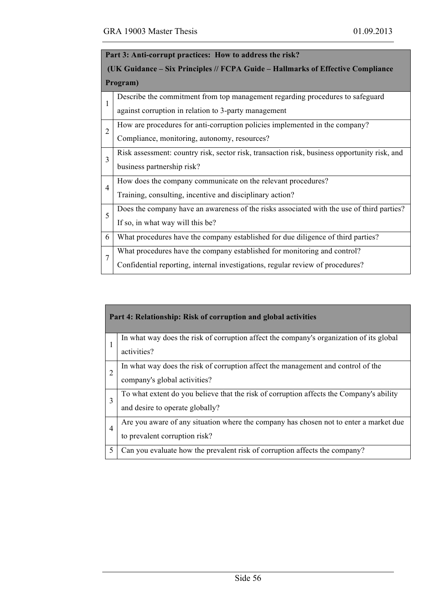| Part 3: Anti-corrupt practices: How to address the risk?                        |                                                                                              |  |  |
|---------------------------------------------------------------------------------|----------------------------------------------------------------------------------------------|--|--|
| (UK Guidance – Six Principles // FCPA Guide – Hallmarks of Effective Compliance |                                                                                              |  |  |
|                                                                                 | Program)                                                                                     |  |  |
| $\mathbf{1}$                                                                    | Describe the commitment from top management regarding procedures to safeguard                |  |  |
|                                                                                 | against corruption in relation to 3-party management                                         |  |  |
| $\overline{2}$                                                                  | How are procedures for anti-corruption policies implemented in the company?                  |  |  |
|                                                                                 | Compliance, monitoring, autonomy, resources?                                                 |  |  |
| $\overline{3}$                                                                  | Risk assessment: country risk, sector risk, transaction risk, business opportunity risk, and |  |  |
|                                                                                 | business partnership risk?                                                                   |  |  |
| $\overline{4}$                                                                  | How does the company communicate on the relevant procedures?                                 |  |  |
|                                                                                 | Training, consulting, incentive and disciplinary action?                                     |  |  |
| 5                                                                               | Does the company have an awareness of the risks associated with the use of third parties?    |  |  |
|                                                                                 | If so, in what way will this be?                                                             |  |  |
| 6                                                                               | What procedures have the company established for due diligence of third parties?             |  |  |
| 7                                                                               | What procedures have the company established for monitoring and control?                     |  |  |
|                                                                                 | Confidential reporting, internal investigations, regular review of procedures?               |  |  |

| Part 4: Relationship: Risk of corruption and global activities |                                                                                                                            |  |
|----------------------------------------------------------------|----------------------------------------------------------------------------------------------------------------------------|--|
|                                                                | In what way does the risk of corruption affect the company's organization of its global<br>activities?                     |  |
| $\overline{2}$                                                 | In what way does the risk of corruption affect the management and control of the<br>company's global activities?           |  |
| 3                                                              | To what extent do you believe that the risk of corruption affects the Company's ability<br>and desire to operate globally? |  |
| $\overline{4}$                                                 | Are you aware of any situation where the company has chosen not to enter a market due<br>to prevalent corruption risk?     |  |
| 5                                                              | Can you evaluate how the prevalent risk of corruption affects the company?                                                 |  |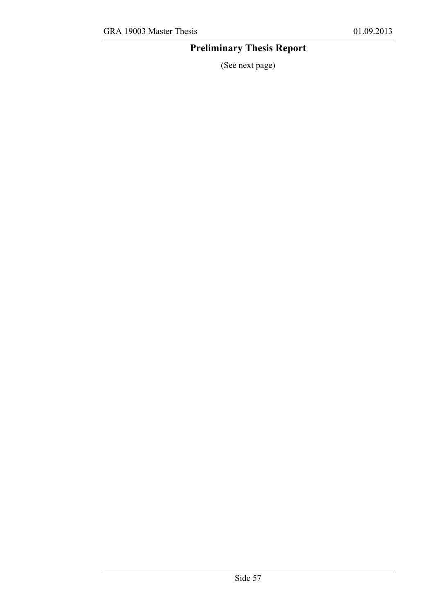### **Preliminary Thesis Report**

(See next page)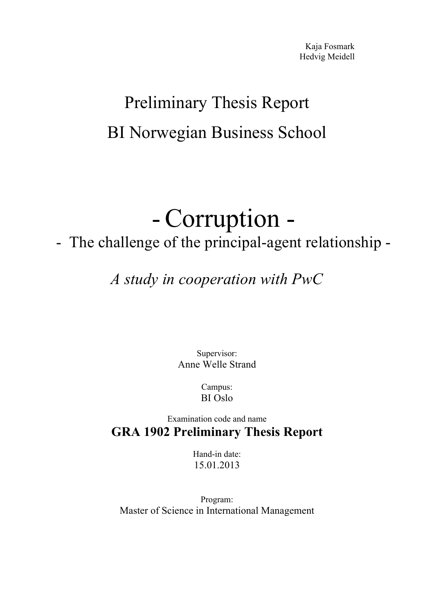## Preliminary Thesis Report BI Norwegian Business School

# - Corruption -<br>- The challenge of the principal-agent relationship -

## *A study in cooperation with PwC*

Supervisor: Anne Welle Strand

> Campus: BI Oslo

Examination code and name **GRA 1902 Preliminary Thesis Report** 

> Hand-in date: 15.01.2013

Program: Master of Science in International Management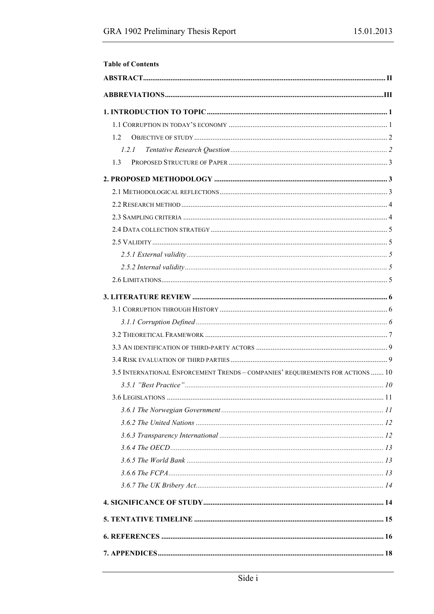| <b>Table of Contents</b>                                                       |  |
|--------------------------------------------------------------------------------|--|
|                                                                                |  |
|                                                                                |  |
|                                                                                |  |
|                                                                                |  |
| 1.2                                                                            |  |
| 1.2.1                                                                          |  |
| 1.3                                                                            |  |
|                                                                                |  |
|                                                                                |  |
|                                                                                |  |
|                                                                                |  |
|                                                                                |  |
|                                                                                |  |
|                                                                                |  |
|                                                                                |  |
|                                                                                |  |
|                                                                                |  |
|                                                                                |  |
|                                                                                |  |
|                                                                                |  |
|                                                                                |  |
|                                                                                |  |
| 3.5 INTERNATIONAL ENFORCEMENT TRENDS - COMPANIES' REQUIREMENTS FOR ACTIONS  10 |  |
|                                                                                |  |
|                                                                                |  |
|                                                                                |  |
|                                                                                |  |
|                                                                                |  |
|                                                                                |  |
|                                                                                |  |
|                                                                                |  |
|                                                                                |  |
|                                                                                |  |
|                                                                                |  |
|                                                                                |  |
|                                                                                |  |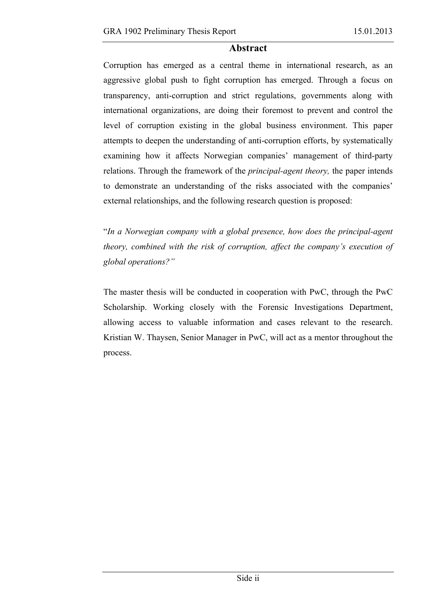### **Abstract**

Corruption has emerged as a central theme in international research, as an aggressive global push to fight corruption has emerged. Through a focus on transparency, anti-corruption and strict regulations, governments along with international organizations, are doing their foremost to prevent and control the level of corruption existing in the global business environment. This paper attempts to deepen the understanding of anti-corruption efforts, by systematically examining how it affects Norwegian companies' management of third-party relations. Through the framework of the *principal-agent theory,* the paper intends to demonstrate an understanding of the risks associated with the companies' external relationships, and the following research question is proposed:

"*In a Norwegian company with a global presence, how does the principal-agent theory, combined with the risk of corruption, affect the company's execution of global operations?"*

The master thesis will be conducted in cooperation with PwC, through the PwC Scholarship. Working closely with the Forensic Investigations Department, allowing access to valuable information and cases relevant to the research. Kristian W. Thaysen, Senior Manager in PwC, will act as a mentor throughout the process.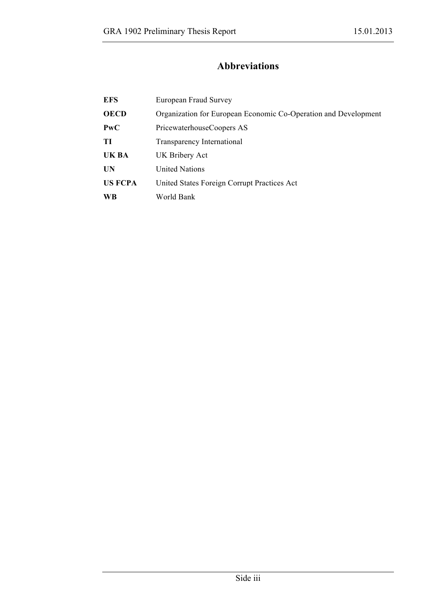### **Abbreviations**

| <b>EFS</b>     | European Fraud Survey                                           |
|----------------|-----------------------------------------------------------------|
| <b>OECD</b>    | Organization for European Economic Co-Operation and Development |
| PwC            | PricewaterhouseCoopers AS                                       |
| TI             | Transparency International                                      |
| UK BA          | UK Bribery Act                                                  |
| UN             | <b>United Nations</b>                                           |
| <b>US FCPA</b> | United States Foreign Corrupt Practices Act                     |
| WB             | World Bank                                                      |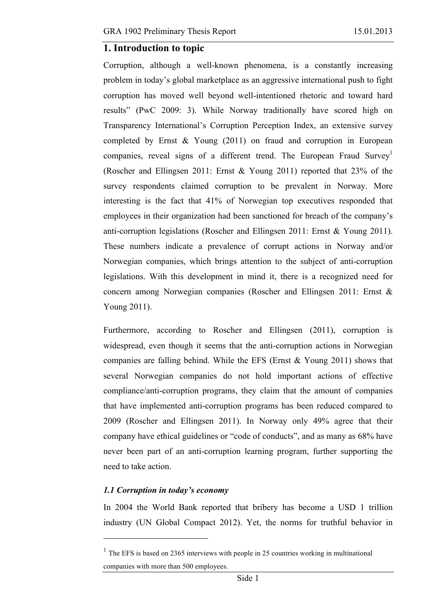### **1. Introduction to topic**

Corruption, although a well-known phenomena, is a constantly increasing problem in today's global marketplace as an aggressive international push to fight corruption has moved well beyond well-intentioned rhetoric and toward hard results" (PwC 2009: 3). While Norway traditionally have scored high on Transparency International's Corruption Perception Index, an extensive survey completed by Ernst & Young (2011) on fraud and corruption in European companies, reveal signs of a different trend. The European Fraud Survey<sup>1</sup> (Roscher and Ellingsen 2011: Ernst & Young 2011) reported that 23% of the survey respondents claimed corruption to be prevalent in Norway. More interesting is the fact that 41% of Norwegian top executives responded that employees in their organization had been sanctioned for breach of the company's anti-corruption legislations (Roscher and Ellingsen 2011: Ernst & Young 2011). These numbers indicate a prevalence of corrupt actions in Norway and/or Norwegian companies, which brings attention to the subject of anti-corruption legislations. With this development in mind it, there is a recognized need for concern among Norwegian companies (Roscher and Ellingsen 2011: Ernst & Young 2011).

Furthermore, according to Roscher and Ellingsen (2011), corruption is widespread, even though it seems that the anti-corruption actions in Norwegian companies are falling behind. While the EFS (Ernst  $&$  Young 2011) shows that several Norwegian companies do not hold important actions of effective compliance/anti-corruption programs, they claim that the amount of companies that have implemented anti-corruption programs has been reduced compared to 2009 (Roscher and Ellingsen 2011). In Norway only 49% agree that their company have ethical guidelines or "code of conducts", and as many as 68% have never been part of an anti-corruption learning program, further supporting the need to take action.

### *1.1 Corruption in today's economy*

 $\overline{a}$ 

In 2004 the World Bank reported that bribery has become a USD 1 trillion industry (UN Global Compact 2012). Yet, the norms for truthful behavior in

 $1$  The EFS is based on 2365 interviews with people in 25 countries working in multinational companies with more than 500 employees.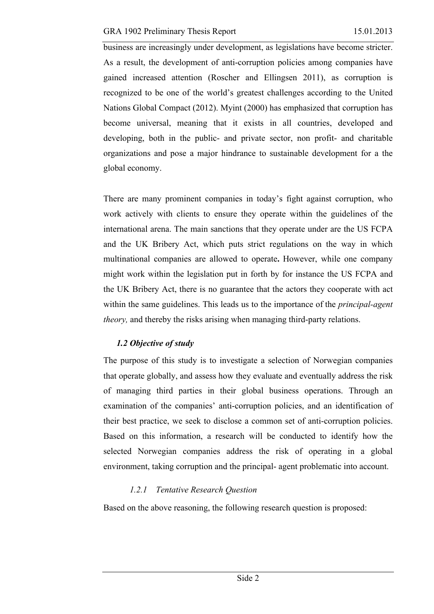business are increasingly under development, as legislations have become stricter. As a result, the development of anti-corruption policies among companies have gained increased attention (Roscher and Ellingsen 2011), as corruption is recognized to be one of the world's greatest challenges according to the United Nations Global Compact (2012). Myint (2000) has emphasized that corruption has become universal, meaning that it exists in all countries, developed and developing, both in the public- and private sector, non profit- and charitable organizations and pose a major hindrance to sustainable development for a the global economy.

There are many prominent companies in today's fight against corruption, who work actively with clients to ensure they operate within the guidelines of the international arena. The main sanctions that they operate under are the US FCPA and the UK Bribery Act, which puts strict regulations on the way in which multinational companies are allowed to operate**.** However, while one company might work within the legislation put in forth by for instance the US FCPA and the UK Bribery Act, there is no guarantee that the actors they cooperate with act within the same guidelines. This leads us to the importance of the *principal-agent theory*, and thereby the risks arising when managing third-party relations.

### *1.2 Objective of study*

The purpose of this study is to investigate a selection of Norwegian companies that operate globally, and assess how they evaluate and eventually address the risk of managing third parties in their global business operations. Through an examination of the companies' anti-corruption policies, and an identification of their best practice, we seek to disclose a common set of anti-corruption policies. Based on this information, a research will be conducted to identify how the selected Norwegian companies address the risk of operating in a global environment, taking corruption and the principal- agent problematic into account.

### *1.2.1 Tentative Research Question*

Based on the above reasoning, the following research question is proposed: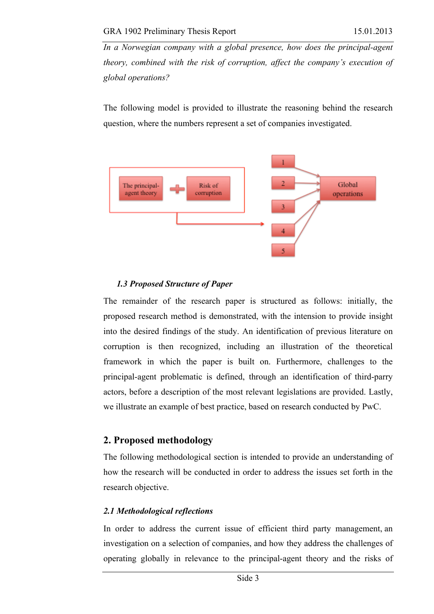*In a Norwegian company with a global presence, how does the principal-agent theory, combined with the risk of corruption, affect the company's execution of global operations?*

The following model is provided to illustrate the reasoning behind the research question, where the numbers represent a set of companies investigated.



### *1.3 Proposed Structure of Paper*

The remainder of the research paper is structured as follows: initially, the proposed research method is demonstrated, with the intension to provide insight into the desired findings of the study. An identification of previous literature on corruption is then recognized, including an illustration of the theoretical framework in which the paper is built on. Furthermore, challenges to the principal-agent problematic is defined, through an identification of third-parry actors, before a description of the most relevant legislations are provided. Lastly, we illustrate an example of best practice, based on research conducted by PwC.

### **2. Proposed methodology**

The following methodological section is intended to provide an understanding of how the research will be conducted in order to address the issues set forth in the research objective.

### *2.1 Methodological reflections*

In order to address the current issue of efficient third party management, an investigation on a selection of companies, and how they address the challenges of operating globally in relevance to the principal-agent theory and the risks of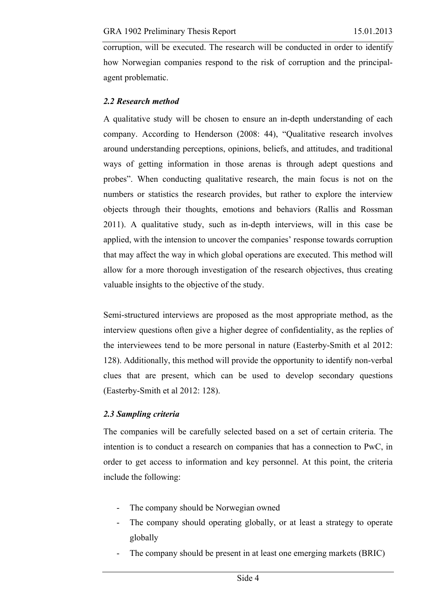corruption, will be executed. The research will be conducted in order to identify how Norwegian companies respond to the risk of corruption and the principalagent problematic.

### *2.2 Research method*

A qualitative study will be chosen to ensure an in-depth understanding of each company. According to Henderson (2008: 44), "Qualitative research involves around understanding perceptions, opinions, beliefs, and attitudes, and traditional ways of getting information in those arenas is through adept questions and probes". When conducting qualitative research, the main focus is not on the numbers or statistics the research provides, but rather to explore the interview objects through their thoughts, emotions and behaviors (Rallis and Rossman 2011). A qualitative study, such as in-depth interviews, will in this case be applied, with the intension to uncover the companies' response towards corruption that may affect the way in which global operations are executed. This method will allow for a more thorough investigation of the research objectives, thus creating valuable insights to the objective of the study.

Semi-structured interviews are proposed as the most appropriate method, as the interview questions often give a higher degree of confidentiality, as the replies of the interviewees tend to be more personal in nature (Easterby-Smith et al 2012: 128). Additionally, this method will provide the opportunity to identify non-verbal clues that are present, which can be used to develop secondary questions (Easterby-Smith et al 2012: 128).

### *2.3 Sampling criteria*

The companies will be carefully selected based on a set of certain criteria. The intention is to conduct a research on companies that has a connection to PwC, in order to get access to information and key personnel. At this point, the criteria include the following:

- The company should be Norwegian owned
- The company should operating globally, or at least a strategy to operate globally
- The company should be present in at least one emerging markets (BRIC)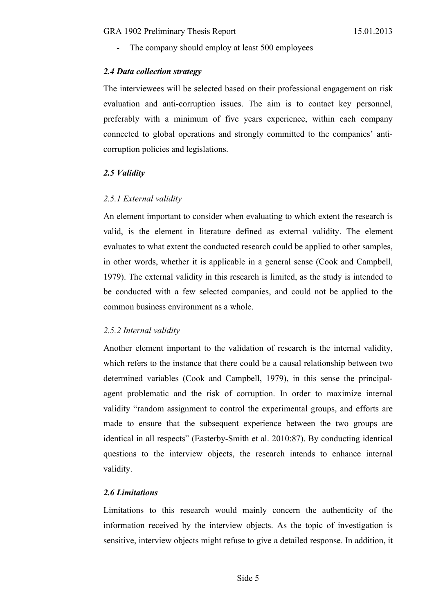The company should employ at least 500 employees

### *2.4 Data collection strategy*

The interviewees will be selected based on their professional engagement on risk evaluation and anti-corruption issues. The aim is to contact key personnel, preferably with a minimum of five years experience, within each company connected to global operations and strongly committed to the companies' anticorruption policies and legislations.

### *2.5 Validity*

### *2.5.1 External validity*

An element important to consider when evaluating to which extent the research is valid, is the element in literature defined as external validity. The element evaluates to what extent the conducted research could be applied to other samples, in other words, whether it is applicable in a general sense (Cook and Campbell, 1979). The external validity in this research is limited, as the study is intended to be conducted with a few selected companies, and could not be applied to the common business environment as a whole.

### *2.5.2 Internal validity*

Another element important to the validation of research is the internal validity, which refers to the instance that there could be a causal relationship between two determined variables (Cook and Campbell, 1979), in this sense the principalagent problematic and the risk of corruption. In order to maximize internal validity "random assignment to control the experimental groups, and efforts are made to ensure that the subsequent experience between the two groups are identical in all respects" (Easterby-Smith et al. 2010:87). By conducting identical questions to the interview objects, the research intends to enhance internal validity.

### *2.6 Limitations*

Limitations to this research would mainly concern the authenticity of the information received by the interview objects. As the topic of investigation is sensitive, interview objects might refuse to give a detailed response. In addition, it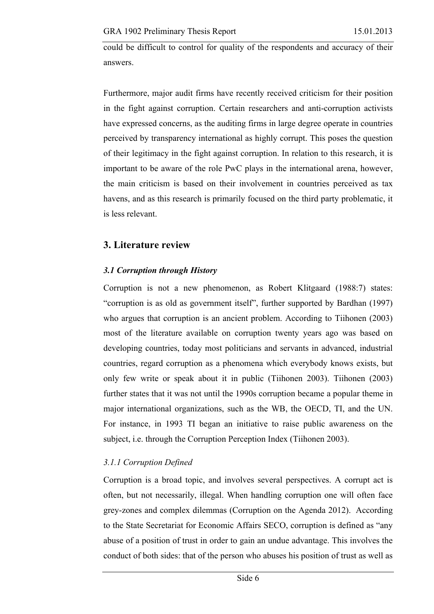could be difficult to control for quality of the respondents and accuracy of their answers.

Furthermore, major audit firms have recently received criticism for their position in the fight against corruption. Certain researchers and anti-corruption activists have expressed concerns, as the auditing firms in large degree operate in countries perceived by transparency international as highly corrupt. This poses the question of their legitimacy in the fight against corruption. In relation to this research, it is important to be aware of the role PwC plays in the international arena, however, the main criticism is based on their involvement in countries perceived as tax havens, and as this research is primarily focused on the third party problematic, it is less relevant.

# **3. Literature review**

### *3.1 Corruption through History*

Corruption is not a new phenomenon, as Robert Klitgaard (1988:7) states: "corruption is as old as government itself", further supported by Bardhan (1997) who argues that corruption is an ancient problem. According to Tiihonen (2003) most of the literature available on corruption twenty years ago was based on developing countries, today most politicians and servants in advanced, industrial countries, regard corruption as a phenomena which everybody knows exists, but only few write or speak about it in public (Tiihonen 2003). Tiihonen (2003) further states that it was not until the 1990s corruption became a popular theme in major international organizations, such as the WB, the OECD, TI, and the UN. For instance, in 1993 TI began an initiative to raise public awareness on the subject, i.e. through the Corruption Perception Index (Tiihonen 2003).

## *3.1.1 Corruption Defined*

Corruption is a broad topic, and involves several perspectives. A corrupt act is often, but not necessarily, illegal. When handling corruption one will often face grey-zones and complex dilemmas (Corruption on the Agenda 2012). According to the State Secretariat for Economic Affairs SECO, corruption is defined as "any abuse of a position of trust in order to gain an undue advantage. This involves the conduct of both sides: that of the person who abuses his position of trust as well as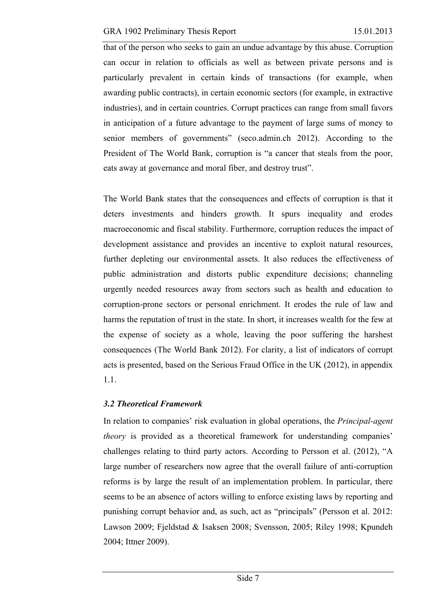that of the person who seeks to gain an undue advantage by this abuse. Corruption can occur in relation to officials as well as between private persons and is particularly prevalent in certain kinds of transactions (for example, when awarding public contracts), in certain economic sectors (for example, in extractive industries), and in certain countries. Corrupt practices can range from small favors in anticipation of a future advantage to the payment of large sums of money to senior members of governments" (seco.admin.ch 2012). According to the President of The World Bank, corruption is "a cancer that steals from the poor, eats away at governance and moral fiber, and destroy trust".

The World Bank states that the consequences and effects of corruption is that it deters investments and hinders growth. It spurs inequality and erodes macroeconomic and fiscal stability. Furthermore, corruption reduces the impact of development assistance and provides an incentive to exploit natural resources, further depleting our environmental assets. It also reduces the effectiveness of public administration and distorts public expenditure decisions; channeling urgently needed resources away from sectors such as health and education to corruption-prone sectors or personal enrichment. It erodes the rule of law and harms the reputation of trust in the state. In short, it increases wealth for the few at the expense of society as a whole, leaving the poor suffering the harshest consequences (The World Bank 2012). For clarity, a list of indicators of corrupt acts is presented, based on the Serious Fraud Office in the UK (2012), in appendix 1.1.

## *3.2 Theoretical Framework*

In relation to companies' risk evaluation in global operations, the *Principal-agent theory* is provided as a theoretical framework for understanding companies' challenges relating to third party actors. According to Persson et al. (2012), "A large number of researchers now agree that the overall failure of anti-corruption reforms is by large the result of an implementation problem. In particular, there seems to be an absence of actors willing to enforce existing laws by reporting and punishing corrupt behavior and, as such, act as "principals" (Persson et al. 2012: Lawson 2009; Fjeldstad & Isaksen 2008; Svensson, 2005; Riley 1998; Kpundeh 2004; Ittner 2009).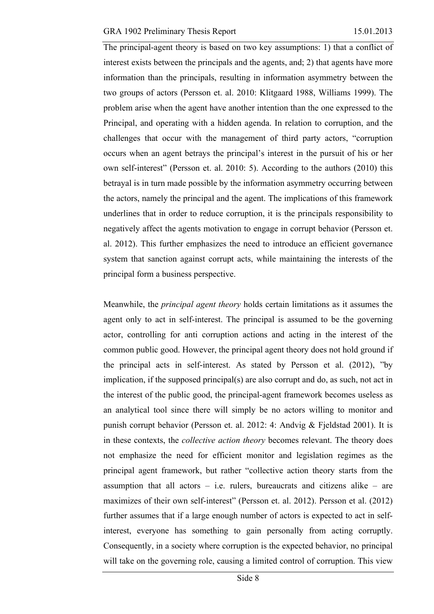The principal-agent theory is based on two key assumptions: 1) that a conflict of interest exists between the principals and the agents, and; 2) that agents have more information than the principals, resulting in information asymmetry between the two groups of actors (Persson et. al. 2010: Klitgaard 1988, Williams 1999). The problem arise when the agent have another intention than the one expressed to the Principal, and operating with a hidden agenda. In relation to corruption, and the challenges that occur with the management of third party actors, "corruption occurs when an agent betrays the principal's interest in the pursuit of his or her own self-interest" (Persson et. al. 2010: 5). According to the authors (2010) this betrayal is in turn made possible by the information asymmetry occurring between the actors, namely the principal and the agent. The implications of this framework underlines that in order to reduce corruption, it is the principals responsibility to negatively affect the agents motivation to engage in corrupt behavior (Persson et. al. 2012). This further emphasizes the need to introduce an efficient governance system that sanction against corrupt acts, while maintaining the interests of the principal form a business perspective.

Meanwhile, the *principal agent theory* holds certain limitations as it assumes the agent only to act in self-interest. The principal is assumed to be the governing actor, controlling for anti corruption actions and acting in the interest of the common public good. However, the principal agent theory does not hold ground if the principal acts in self-interest. As stated by Persson et al. (2012), "by implication, if the supposed principal(s) are also corrupt and do, as such, not act in the interest of the public good, the principal-agent framework becomes useless as an analytical tool since there will simply be no actors willing to monitor and punish corrupt behavior (Persson et. al. 2012: 4: Andvig & Fjeldstad 2001). It is in these contexts, the *collective action theory* becomes relevant. The theory does not emphasize the need for efficient monitor and legislation regimes as the principal agent framework, but rather "collective action theory starts from the assumption that all actors  $-$  i.e. rulers, bureaucrats and citizens alike  $-$  are maximizes of their own self-interest" (Persson et. al. 2012). Persson et al. (2012) further assumes that if a large enough number of actors is expected to act in selfinterest, everyone has something to gain personally from acting corruptly. Consequently, in a society where corruption is the expected behavior, no principal will take on the governing role, causing a limited control of corruption. This view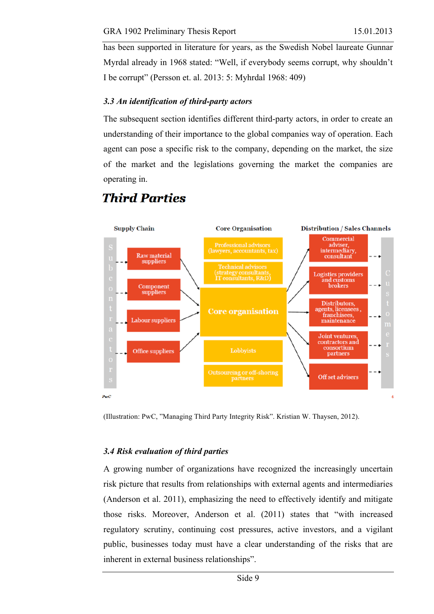has been supported in literature for years, as the Swedish Nobel laureate Gunnar Myrdal already in 1968 stated: "Well, if everybody seems corrupt, why shouldn't I be corrupt" (Persson et. al. 2013: 5: Myhrdal 1968: 409)

### *3.3 An identification of third-party actors*

**Third Parties** 

The subsequent section identifies different third-party actors, in order to create an understanding of their importance to the global companies way of operation. Each agent can pose a specific risk to the company, depending on the market, the size of the market and the legislations governing the market the companies are operating in.

#### **Supply Chain Distribution / Sales Channels Core Organisation** Commercial adviser,<br>intermediary, **Raw material** consultant suppliers **Technical advisors** (strategy consultants, IT consultants, R&D) **Logistics providers** and customs<br>brokers Component suppliers Distributors, agents, licensees, **Core organisation** franchisees, **Labour suppliers** maintenance Joint ventures, contractors and consortium Office suppliers partners Outsourcing or off-shoring<br>partners Off set advisers

 $PwC$ 

(Illustration: PwC, "Managing Third Party Integrity Risk". Kristian W. Thaysen, 2012).

### *3.4 Risk evaluation of third parties*

A growing number of organizations have recognized the increasingly uncertain risk picture that results from relationships with external agents and intermediaries (Anderson et al. 2011), emphasizing the need to effectively identify and mitigate those risks. Moreover, Anderson et al. (2011) states that "with increased regulatory scrutiny, continuing cost pressures, active investors, and a vigilant public, businesses today must have a clear understanding of the risks that are inherent in external business relationships".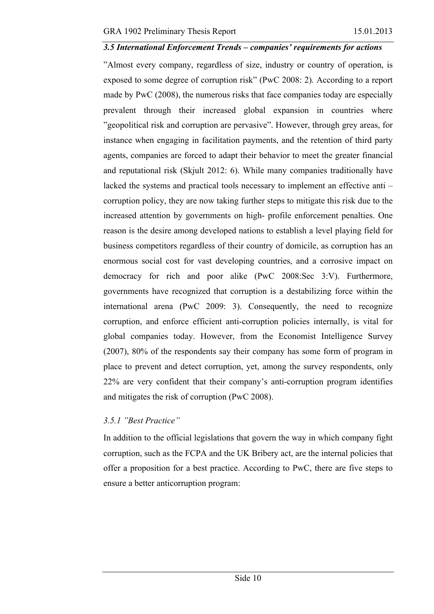#### *3.5 International Enforcement Trends – companies' requirements for actions*

"Almost every company, regardless of size, industry or country of operation, is exposed to some degree of corruption risk" (PwC 2008: 2). According to a report made by PwC (2008), the numerous risks that face companies today are especially prevalent through their increased global expansion in countries where "geopolitical risk and corruption are pervasive". However, through grey areas, for instance when engaging in facilitation payments, and the retention of third party agents, companies are forced to adapt their behavior to meet the greater financial and reputational risk (Skjult 2012: 6). While many companies traditionally have lacked the systems and practical tools necessary to implement an effective anti – corruption policy, they are now taking further steps to mitigate this risk due to the increased attention by governments on high- profile enforcement penalties. One reason is the desire among developed nations to establish a level playing field for business competitors regardless of their country of domicile, as corruption has an enormous social cost for vast developing countries, and a corrosive impact on democracy for rich and poor alike (PwC 2008:Sec 3:V). Furthermore, governments have recognized that corruption is a destabilizing force within the international arena (PwC 2009: 3). Consequently, the need to recognize corruption, and enforce efficient anti-corruption policies internally, is vital for global companies today. However, from the Economist Intelligence Survey (2007), 80% of the respondents say their company has some form of program in place to prevent and detect corruption, yet, among the survey respondents, only 22% are very confident that their company's anti-corruption program identifies and mitigates the risk of corruption (PwC 2008).

### *3.5.1 "Best Practice"*

In addition to the official legislations that govern the way in which company fight corruption, such as the FCPA and the UK Bribery act, are the internal policies that offer a proposition for a best practice. According to PwC, there are five steps to ensure a better anticorruption program: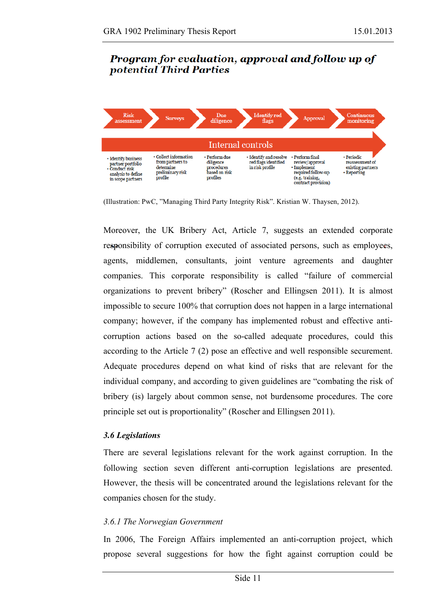# **Program for evaluation, approval and follow up of** potential Third Parties



(Illustration: PwC, "Managing Third Party Integrity Risk". Kristian W. Thaysen, 2012).

Moreover, the UK Bribery Act, Article 7, suggests an extended corporate responsibility of corruption executed of associated persons, such as employees, agents, middlemen, consultants, joint venture agreements and daughter companies. This corporate responsibility is called "failure of commercial organizations to prevent bribery" (Roscher and Ellingsen 2011). It is almost impossible to secure 100% that corruption does not happen in a large international company; however, if the company has implemented robust and effective anticorruption actions based on the so-called adequate procedures, could this according to the Article 7 (2) pose an effective and well responsible securement. Adequate procedures depend on what kind of risks that are relevant for the individual company, and according to given guidelines are "combating the risk of bribery (is) largely about common sense, not burdensome procedures. The core principle set out is proportionality" (Roscher and Ellingsen 2011).

### *3.6 Legislations*

There are several legislations relevant for the work against corruption. In the following section seven different anti-corruption legislations are presented. However, the thesis will be concentrated around the legislations relevant for the companies chosen for the study.

### *3.6.1 The Norwegian Government*

In 2006, The Foreign Affairs implemented an anti-corruption project, which propose several suggestions for how the fight against corruption could be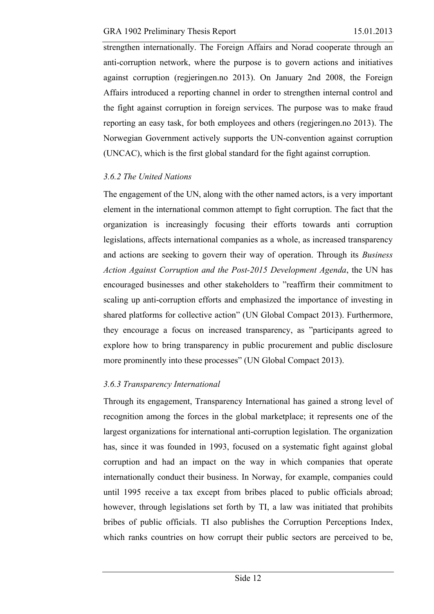strengthen internationally. The Foreign Affairs and Norad cooperate through an anti-corruption network, where the purpose is to govern actions and initiatives against corruption (regjeringen.no 2013). On January 2nd 2008, the Foreign Affairs introduced a reporting channel in order to strengthen internal control and the fight against corruption in foreign services. The purpose was to make fraud reporting an easy task, for both employees and others (regjeringen.no 2013). The Norwegian Government actively supports the UN-convention against corruption (UNCAC), which is the first global standard for the fight against corruption.

### *3.6.2 The United Nations*

The engagement of the UN, along with the other named actors, is a very important element in the international common attempt to fight corruption. The fact that the organization is increasingly focusing their efforts towards anti corruption legislations, affects international companies as a whole, as increased transparency and actions are seeking to govern their way of operation. Through its *Business Action Against Corruption and the Post-2015 Development Agenda*, the UN has encouraged businesses and other stakeholders to "reaffirm their commitment to scaling up anti-corruption efforts and emphasized the importance of investing in shared platforms for collective action" (UN Global Compact 2013). Furthermore, they encourage a focus on increased transparency, as "participants agreed to explore how to bring transparency in public procurement and public disclosure more prominently into these processes" (UN Global Compact 2013).

### *3.6.3 Transparency International*

Through its engagement, Transparency International has gained a strong level of recognition among the forces in the global marketplace; it represents one of the largest organizations for international anti-corruption legislation. The organization has, since it was founded in 1993, focused on a systematic fight against global corruption and had an impact on the way in which companies that operate internationally conduct their business. In Norway, for example, companies could until 1995 receive a tax except from bribes placed to public officials abroad; however, through legislations set forth by TI, a law was initiated that prohibits bribes of public officials. TI also publishes the Corruption Perceptions Index, which ranks countries on how corrupt their public sectors are perceived to be,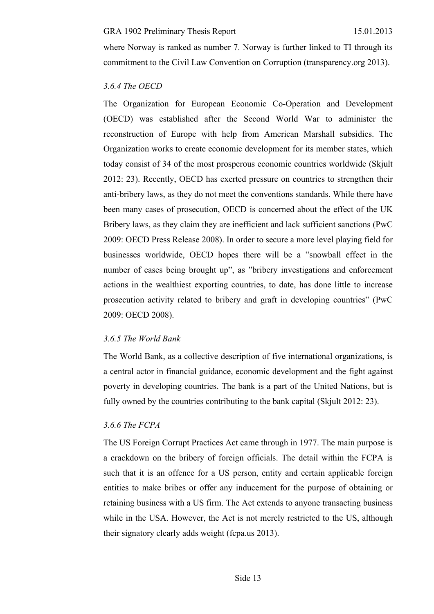where Norway is ranked as number 7. Norway is further linked to TI through its commitment to the Civil Law Convention on Corruption (transparency.org 2013).

#### *3.6.4 The OECD*

The Organization for European Economic Co-Operation and Development (OECD) was established after the Second World War to administer the reconstruction of Europe with help from American Marshall subsidies. The Organization works to create economic development for its member states, which today consist of 34 of the most prosperous economic countries worldwide (Skjult 2012: 23). Recently, OECD has exerted pressure on countries to strengthen their anti-bribery laws, as they do not meet the conventions standards. While there have been many cases of prosecution, OECD is concerned about the effect of the UK Bribery laws, as they claim they are inefficient and lack sufficient sanctions (PwC 2009: OECD Press Release 2008). In order to secure a more level playing field for businesses worldwide, OECD hopes there will be a "snowball effect in the number of cases being brought up", as "bribery investigations and enforcement actions in the wealthiest exporting countries, to date, has done little to increase prosecution activity related to bribery and graft in developing countries" (PwC 2009: OECD 2008).

#### *3.6.5 The World Bank*

The World Bank, as a collective description of five international organizations, is a central actor in financial guidance, economic development and the fight against poverty in developing countries. The bank is a part of the United Nations, but is fully owned by the countries contributing to the bank capital (Skjult 2012: 23).

### *3.6.6 The FCPA*

The US Foreign Corrupt Practices Act came through in 1977. The main purpose is a crackdown on the bribery of foreign officials. The detail within the FCPA is such that it is an offence for a US person, entity and certain applicable foreign entities to make bribes or offer any inducement for the purpose of obtaining or retaining business with a US firm. The Act extends to anyone transacting business while in the USA. However, the Act is not merely restricted to the US, although their signatory clearly adds weight (fcpa.us 2013).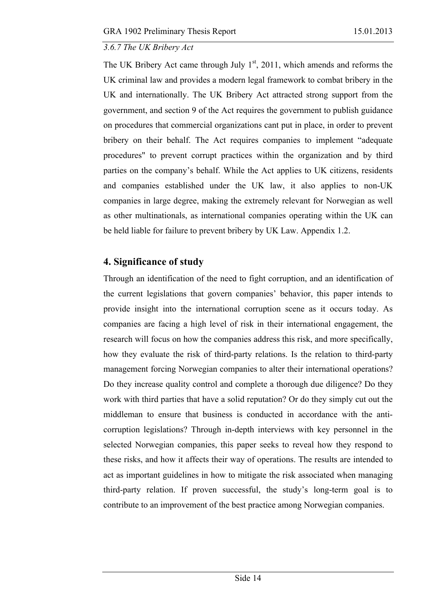### *3.6.7 The UK Bribery Act*

The UK Bribery Act came through July  $1<sup>st</sup>$ , 2011, which amends and reforms the UK criminal law and provides a modern legal framework to combat bribery in the UK and internationally. The UK Bribery Act attracted strong support from the government, and section 9 of the Act requires the government to publish guidance on procedures that commercial organizations cant put in place, in order to prevent bribery on their behalf. The Act requires companies to implement "adequate procedures" to prevent corrupt practices within the organization and by third parties on the company's behalf. While the Act applies to UK citizens, residents and companies established under the UK law, it also applies to non-UK companies in large degree, making the extremely relevant for Norwegian as well as other multinationals, as international companies operating within the UK can be held liable for failure to prevent bribery by UK Law. Appendix 1.2.

# **4. Significance of study**

Through an identification of the need to fight corruption, and an identification of the current legislations that govern companies' behavior, this paper intends to provide insight into the international corruption scene as it occurs today. As companies are facing a high level of risk in their international engagement, the research will focus on how the companies address this risk, and more specifically, how they evaluate the risk of third-party relations. Is the relation to third-party management forcing Norwegian companies to alter their international operations? Do they increase quality control and complete a thorough due diligence? Do they work with third parties that have a solid reputation? Or do they simply cut out the middleman to ensure that business is conducted in accordance with the anticorruption legislations? Through in-depth interviews with key personnel in the selected Norwegian companies, this paper seeks to reveal how they respond to these risks, and how it affects their way of operations. The results are intended to act as important guidelines in how to mitigate the risk associated when managing third-party relation. If proven successful, the study's long-term goal is to contribute to an improvement of the best practice among Norwegian companies.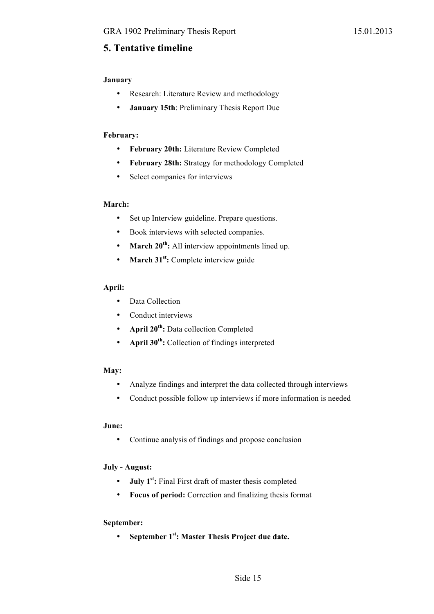### **5. Tentative timeline**

#### **January**

- Research: Literature Review and methodology
- **January 15th**: Preliminary Thesis Report Due

#### **February:**

- **February 20th:** Literature Review Completed
- **February 28th:** Strategy for methodology Completed
- Select companies for interviews

#### **March:**

- Set up Interview guideline. Prepare questions.
- Book interviews with selected companies.
- **March 20<sup>th</sup>:** All interview appointments lined up.
- **March 31<sup>st</sup>:** Complete interview guide

#### **April:**

- Data Collection
- Conduct interviews
- **April 20th:** Data collection Completed
- **April 30th:** Collection of findings interpreted

#### **May:**

- Analyze findings and interpret the data collected through interviews
- Conduct possible follow up interviews if more information is needed

#### **June:**

• Continue analysis of findings and propose conclusion

#### **July - August:**

- **July 1st:** Final First draft of master thesis completed
- **Focus of period:** Correction and finalizing thesis format

#### **September:**

• **September 1st: Master Thesis Project due date.**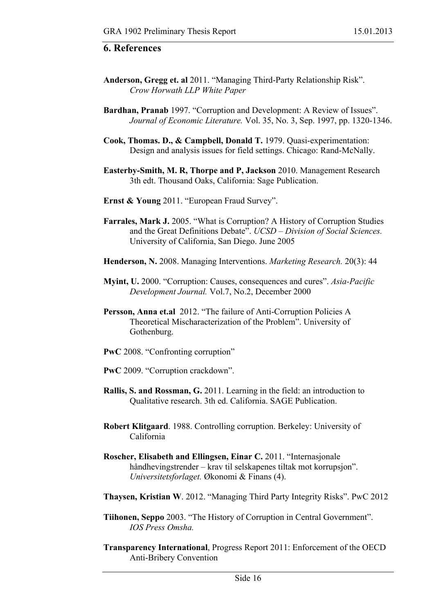#### **6. References**

- **Anderson, Gregg et. al** 2011. "Managing Third-Party Relationship Risk". *Crow Horwath LLP White Paper*
- **Bardhan, Pranab** 1997. "Corruption and Development: A Review of Issues". *Journal of Economic Literature.* Vol. 35, No. 3, Sep. 1997, pp. 1320-1346.
- **Cook, Thomas. D., & Campbell, Donald T.** 1979. Quasi-experimentation: Design and analysis issues for field settings. Chicago: Rand-McNally.
- **Easterby-Smith, M. R, Thorpe and P, Jackson** 2010. Management Research 3th edt. Thousand Oaks, California: Sage Publication.
- **Ernst & Young** 2011. "European Fraud Survey".
- **Farrales, Mark J.** 2005. "What is Corruption? A History of Corruption Studies and the Great Definitions Debate". *UCSD – Division of Social Sciences.* University of California, San Diego. June 2005
- **Henderson, N.** 2008. Managing Interventions. *Marketing Research.* 20(3): 44
- **Myint, U.** 2000. "Corruption: Causes, consequences and cures". *Asia-Pacific Development Journal.* Vol.7, No.2, December 2000
- **Persson, Anna et.al** 2012. "The failure of Anti-Corruption Policies A Theoretical Mischaracterization of the Problem". University of Gothenburg.
- **PwC** 2008. "Confronting corruption"
- **PwC** 2009. "Corruption crackdown".
- **Rallis, S. and Rossman, G.** 2011. Learning in the field: an introduction to Qualitative research. 3th ed. California. SAGE Publication.
- **Robert Klitgaard**. 1988. Controlling corruption. Berkeley: University of California
- **Roscher, Elisabeth and Ellingsen, Einar C.** 2011. "Internasjonale håndhevingstrender – krav til selskapenes tiltak mot korrupsjon". *Universitetsforlaget.* Økonomi & Finans (4).
- **Thaysen, Kristian W**. 2012. "Managing Third Party Integrity Risks". PwC 2012
- **Tiihonen, Seppo** 2003. "The History of Corruption in Central Government". *IOS Press Omsha.*
- **Transparency International**, Progress Report 2011: Enforcement of the OECD Anti-Bribery Convention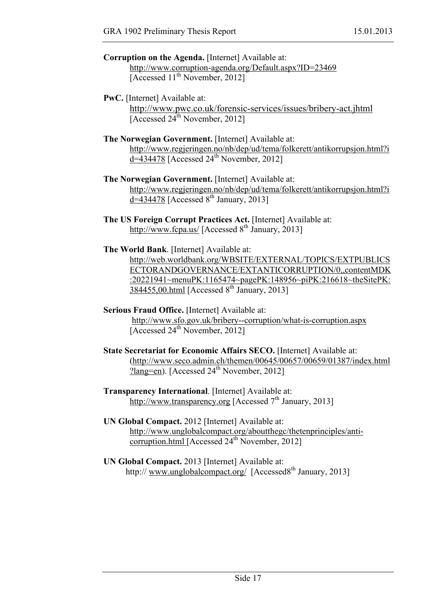| <b>Corruption on the Agenda.</b> [Internet] Available at: |
|-----------------------------------------------------------|
| http://www.corruption-agenda.org/Default.aspx?ID=23469    |
| [Accessed 11 <sup>th</sup> November, 2012]                |

#### **PwC.** [Internet] Available at: http://www.pwc.co.uk/forensic-services/issues/bribery-act.jhtml [Accessed  $24^{\text{th}}$  November, 2012]

- **The Norwegian Government.** [Internet] Available at: http://www.regjeringen.no/nb/dep/ud/tema/folkerett/antikorrupsjon.html?i  $d=434478$  [Accessed  $24<sup>th</sup>$  November, 2012]
- **The Norwegian Government.** [Internet] Available at: http://www.regjeringen.no/nb/dep/ud/tema/folkerett/antikorrupsjon.html?i  $\overline{d}$ =434478 [Accessed 8<sup>th</sup> January, 2013]
- **The US Foreign Corrupt Practices Act.** [Internet] Available at: http://www.fcpa.us/ [Accessed  $8<sup>th</sup>$  January, 2013]

#### **The World Bank**. [Internet] Available at:

http://web.worldbank.org/WBSITE/EXTERNAL/TOPICS/EXTPUBLICS ECTORANDGOVERNANCE/EXTANTICORRUPTION/0,,contentMDK :20221941~menuPK:1165474~pagePK:148956~piPK:216618~theSitePK: 384455,00.html [Accessed  $8<sup>th</sup>$  January, 2013]

#### **Serious Fraud Office.** [Internet] Available at:

http://www.sfo.gov.uk/bribery--corruption/what-is-corruption.aspx [Accessed 24<sup>th</sup> November, 2012]

**State Secretariat for Economic Affairs SECO.** [Internet] Available at: (http://www.seco.admin.ch/themen/00645/00657/00659/01387/index.html ?lang=en). [Accessed  $24<sup>th</sup>$  November, 2012]

### **Transparency International**. [Internet] Available at: http://www.transparency.org [Accessed  $7<sup>th</sup>$  January, 2013]

- **UN Global Compact.** 2012 [Internet] Available at: http://www.unglobalcompact.org/aboutthegc/thetenprinciples/anticorruption.html [Accessed  $24<sup>th</sup>$  November, 2012]
- **UN Global Compact.** 2013 [Internet] Available at: http:// www.unglobalcompact.org/ [Accessed8<sup>th</sup> January, 2013]